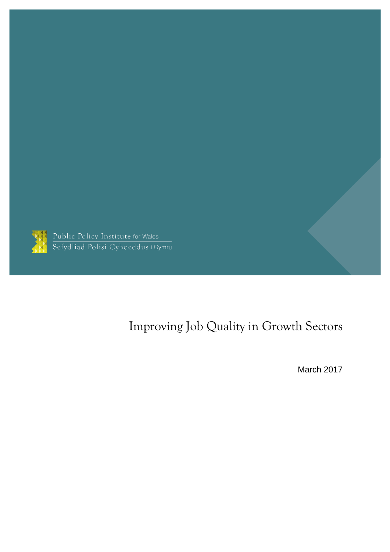

Public Policy Institute for Wales<br>Sefydliad Polisi Cyhoeddus i Gymru

# Improving Job Quality in Growth Sectors

March 2017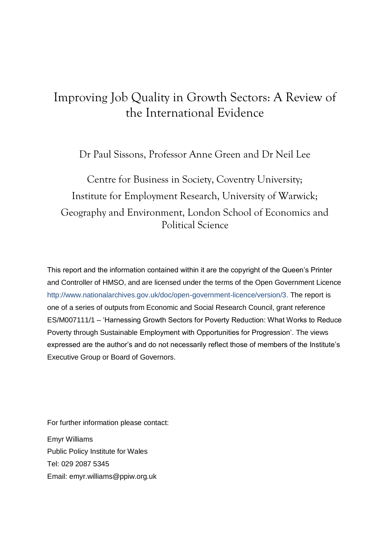### Improving Job Quality in Growth Sectors: A Review of the International Evidence

Dr Paul Sissons, Professor Anne Green and Dr Neil Lee

Centre for Business in Society, Coventry University; Institute for Employment Research, University of Warwick; Geography and Environment, London School of Economics and Political Science

This report and the information contained within it are the copyright of the Queen's Printer and Controller of HMSO, and are licensed under the terms of the Open Government Licence [http://www.nationalarchives.gov.uk/doc/open-government-licence/version/3.](http://www.nationalarchives.gov.uk/doc/open-government-licence/version/3) The report is one of a series of outputs from Economic and Social Research Council, grant reference ES/M007111/1 – 'Harnessing Growth Sectors for Poverty Reduction: What Works to Reduce Poverty through Sustainable Employment with Opportunities for Progression'. The views expressed are the author's and do not necessarily reflect those of members of the Institute's Executive Group or Board of Governors.

For further information please contact:

Emyr Williams Public Policy Institute for Wales Tel: 029 2087 5345 Email: emyr.williams@ppiw.org.uk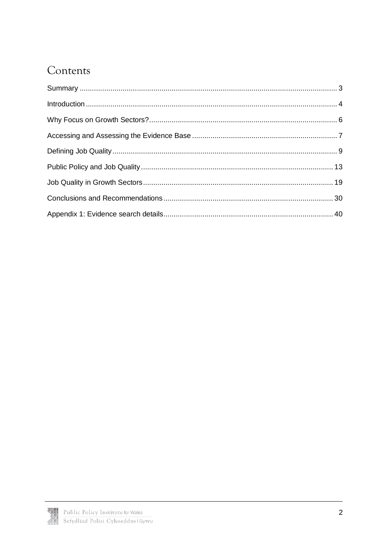## Contents

<span id="page-2-0"></span>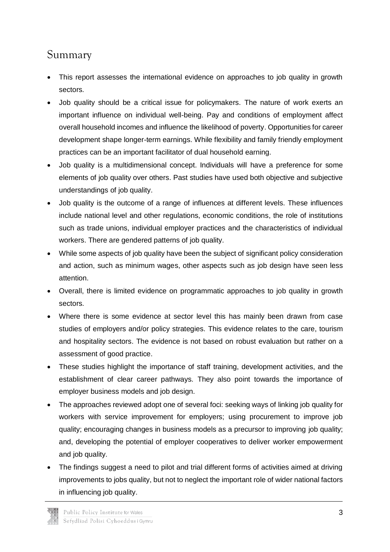### Summary

- This report assesses the international evidence on approaches to job quality in growth sectors.
- Job quality should be a critical issue for policymakers. The nature of work exerts an important influence on individual well-being. Pay and conditions of employment affect overall household incomes and influence the likelihood of poverty. Opportunities for career development shape longer-term earnings. While flexibility and family friendly employment practices can be an important facilitator of dual household earning.
- Job quality is a multidimensional concept. Individuals will have a preference for some elements of job quality over others. Past studies have used both objective and subjective understandings of job quality.
- Job quality is the outcome of a range of influences at different levels. These influences include national level and other regulations, economic conditions, the role of institutions such as trade unions, individual employer practices and the characteristics of individual workers. There are gendered patterns of job quality.
- While some aspects of job quality have been the subject of significant policy consideration and action, such as minimum wages, other aspects such as job design have seen less attention.
- Overall, there is limited evidence on programmatic approaches to job quality in growth sectors.
- Where there is some evidence at sector level this has mainly been drawn from case studies of employers and/or policy strategies. This evidence relates to the care, tourism and hospitality sectors. The evidence is not based on robust evaluation but rather on a assessment of good practice.
- These studies highlight the importance of staff training, development activities, and the establishment of clear career pathways. They also point towards the importance of employer business models and job design.
- The approaches reviewed adopt one of several foci: seeking ways of linking job quality for workers with service improvement for employers; using procurement to improve job quality; encouraging changes in business models as a precursor to improving job quality; and, developing the potential of employer cooperatives to deliver worker empowerment and job quality.
- The findings suggest a need to pilot and trial different forms of activities aimed at driving improvements to jobs quality, but not to neglect the important role of wider national factors in influencing job quality.

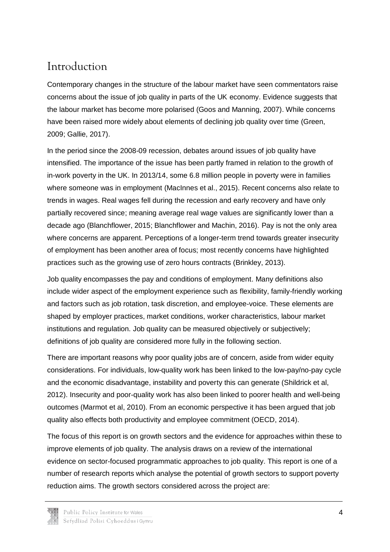### <span id="page-4-0"></span>Introduction

Contemporary changes in the structure of the labour market have seen commentators raise concerns about the issue of job quality in parts of the UK economy. Evidence suggests that the labour market has become more polarised (Goos and Manning, 2007). While concerns have been raised more widely about elements of declining job quality over time (Green, 2009; Gallie, 2017).

In the period since the 2008-09 recession, debates around issues of job quality have intensified. The importance of the issue has been partly framed in relation to the growth of in-work poverty in the UK. In 2013/14, some 6.8 million people in poverty were in families where someone was in employment (MacInnes et al., 2015). Recent concerns also relate to trends in wages. Real wages fell during the recession and early recovery and have only partially recovered since; meaning average real wage values are significantly lower than a decade ago (Blanchflower, 2015; Blanchflower and Machin, 2016). Pay is not the only area where concerns are apparent. Perceptions of a longer-term trend towards greater insecurity of employment has been another area of focus; most recently concerns have highlighted practices such as the growing use of zero hours contracts (Brinkley, 2013).

Job quality encompasses the pay and conditions of employment. Many definitions also include wider aspect of the employment experience such as flexibility, family-friendly working and factors such as job rotation, task discretion, and employee-voice. These elements are shaped by employer practices, market conditions, worker characteristics, labour market institutions and regulation. Job quality can be measured objectively or subjectively; definitions of job quality are considered more fully in the following section.

There are important reasons why poor quality jobs are of concern, aside from wider equity considerations. For individuals, low-quality work has been linked to the low-pay/no-pay cycle and the economic disadvantage, instability and poverty this can generate (Shildrick et al, 2012). Insecurity and poor-quality work has also been linked to poorer health and well-being outcomes (Marmot et al, 2010). From an economic perspective it has been argued that job quality also effects both productivity and employee commitment (OECD, 2014).

The focus of this report is on growth sectors and the evidence for approaches within these to improve elements of job quality. The analysis draws on a review of the international evidence on sector-focused programmatic approaches to job quality. This report is one of a number of research reports which analyse the potential of growth sectors to support poverty reduction aims. The growth sectors considered across the project are: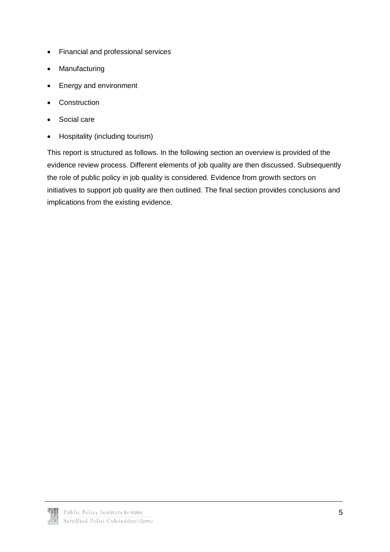- Financial and professional services
- Manufacturing
- Energy and environment
- Construction
- Social care
- Hospitality (including tourism)

This report is structured as follows. In the following section an overview is provided of the evidence review process. Different elements of job quality are then discussed. Subsequently the role of public policy in job quality is considered. Evidence from growth sectors on initiatives to support job quality are then outlined. The final section provides conclusions and implications from the existing evidence.

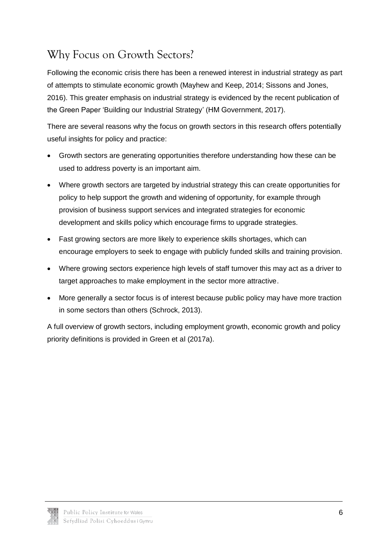## <span id="page-6-0"></span>Why Focus on Growth Sectors?

Following the economic crisis there has been a renewed interest in industrial strategy as part of attempts to stimulate economic growth (Mayhew and Keep, 2014; Sissons and Jones, 2016). This greater emphasis on industrial strategy is evidenced by the recent publication of the Green Paper 'Building our Industrial Strategy' (HM Government, 2017).

There are several reasons why the focus on growth sectors in this research offers potentially useful insights for policy and practice:

- Growth sectors are generating opportunities therefore understanding how these can be used to address poverty is an important aim.
- Where growth sectors are targeted by industrial strategy this can create opportunities for policy to help support the growth and widening of opportunity, for example through provision of business support services and integrated strategies for economic development and skills policy which encourage firms to upgrade strategies.
- Fast growing sectors are more likely to experience skills shortages, which can encourage employers to seek to engage with publicly funded skills and training provision.
- Where growing sectors experience high levels of staff turnover this may act as a driver to target approaches to make employment in the sector more attractive.
- More generally a sector focus is of interest because public policy may have more traction in some sectors than others (Schrock, 2013).

A full overview of growth sectors, including employment growth, economic growth and policy priority definitions is provided in Green et al (2017a).

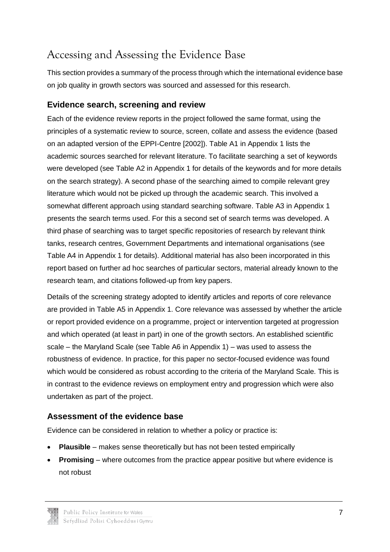## <span id="page-7-0"></span>Accessing and Assessing the Evidence Base

This section provides a summary of the process through which the international evidence base on job quality in growth sectors was sourced and assessed for this research.

### **Evidence search, screening and review**

Each of the evidence review reports in the project followed the same format, using the principles of a systematic review to source, screen, collate and assess the evidence (based on an adapted version of the EPPI-Centre [2002]). Table A1 in Appendix 1 lists the academic sources searched for relevant literature. To facilitate searching a set of keywords were developed (see Table A2 in Appendix 1 for details of the keywords and for more details on the search strategy). A second phase of the searching aimed to compile relevant grey literature which would not be picked up through the academic search. This involved a somewhat different approach using standard searching software. Table A3 in Appendix 1 presents the search terms used. For this a second set of search terms was developed. A third phase of searching was to target specific repositories of research by relevant think tanks, research centres, Government Departments and international organisations (see Table A4 in Appendix 1 for details). Additional material has also been incorporated in this report based on further ad hoc searches of particular sectors, material already known to the research team, and citations followed-up from key papers.

Details of the screening strategy adopted to identify articles and reports of core relevance are provided in Table A5 in Appendix 1. Core relevance was assessed by whether the article or report provided evidence on a programme, project or intervention targeted at progression and which operated (at least in part) in one of the growth sectors. An established scientific scale – the Maryland Scale (see Table A6 in Appendix 1) – was used to assess the robustness of evidence. In practice, for this paper no sector-focused evidence was found which would be considered as robust according to the criteria of the Maryland Scale. This is in contrast to the evidence reviews on employment entry and progression which were also undertaken as part of the project.

### **Assessment of the evidence base**

Evidence can be considered in relation to whether a policy or practice is:

- **Plausible** makes sense theoretically but has not been tested empirically
- **Promising** where outcomes from the practice appear positive but where evidence is not robust

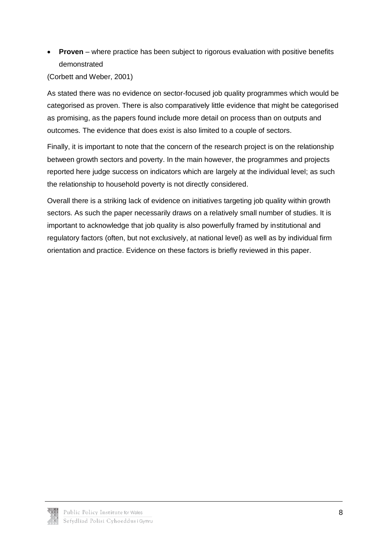**Proven** – where practice has been subject to rigorous evaluation with positive benefits demonstrated

(Corbett and Weber, 2001)

As stated there was no evidence on sector-focused job quality programmes which would be categorised as proven. There is also comparatively little evidence that might be categorised as promising, as the papers found include more detail on process than on outputs and outcomes. The evidence that does exist is also limited to a couple of sectors.

Finally, it is important to note that the concern of the research project is on the relationship between growth sectors and poverty. In the main however, the programmes and projects reported here judge success on indicators which are largely at the individual level; as such the relationship to household poverty is not directly considered.

Overall there is a striking lack of evidence on initiatives targeting job quality within growth sectors. As such the paper necessarily draws on a relatively small number of studies. It is important to acknowledge that job quality is also powerfully framed by institutional and regulatory factors (often, but not exclusively, at national level) as well as by individual firm orientation and practice. Evidence on these factors is briefly reviewed in this paper.

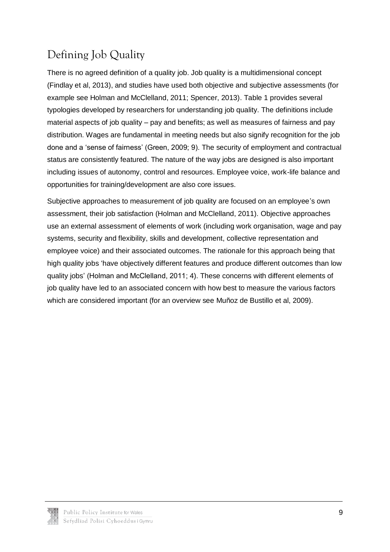# <span id="page-9-0"></span>Defining Job Quality

There is no agreed definition of a quality job. Job quality is a multidimensional concept (Findlay et al, 2013), and studies have used both objective and subjective assessments (for example see Holman and McClelland, 2011; Spencer, 2013). Table 1 provides several typologies developed by researchers for understanding job quality. The definitions include material aspects of job quality – pay and benefits; as well as measures of fairness and pay distribution. Wages are fundamental in meeting needs but also signify recognition for the job done and a 'sense of fairness' (Green, 2009; 9). The security of employment and contractual status are consistently featured. The nature of the way jobs are designed is also important including issues of autonomy, control and resources. Employee voice, work-life balance and opportunities for training/development are also core issues.

Subjective approaches to measurement of job quality are focused on an employee's own assessment, their job satisfaction (Holman and McClelland, 2011). Objective approaches use an external assessment of elements of work (including work organisation, wage and pay systems, security and flexibility, skills and development, collective representation and employee voice) and their associated outcomes. The rationale for this approach being that high quality jobs 'have objectively different features and produce different outcomes than low quality jobs' (Holman and McClelland, 2011; 4). These concerns with different elements of job quality have led to an associated concern with how best to measure the various factors which are considered important (for an overview see Muñoz de Bustillo et al, 2009).

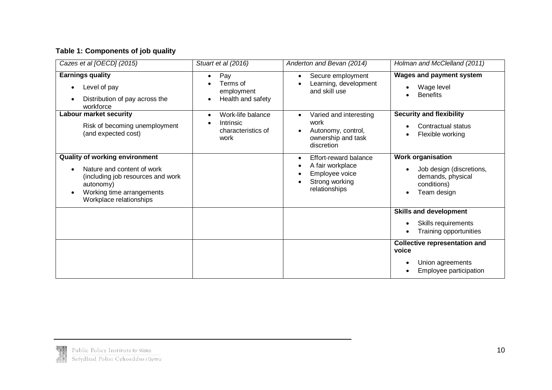### **Table 1: Components of job quality**

| Cazes et al [OECD] (2015)                                                                                                                                                     | Stuart et al (2016)                                          | Anderton and Bevan (2014)                                                                                        | Holman and McClelland (2011)                                                                            |
|-------------------------------------------------------------------------------------------------------------------------------------------------------------------------------|--------------------------------------------------------------|------------------------------------------------------------------------------------------------------------------|---------------------------------------------------------------------------------------------------------|
| <b>Earnings quality</b><br>Level of pay<br>$\bullet$<br>Distribution of pay across the<br>workforce                                                                           | Pay<br>Terms of<br>employment<br>Health and safety           | Secure employment<br>$\bullet$<br>Learning, development<br>and skill use                                         | <b>Wages and payment system</b><br>Wage level<br><b>Benefits</b>                                        |
| <b>Labour market security</b><br>Risk of becoming unemployment<br>(and expected cost)                                                                                         | Work-life balance<br>Intrinsic<br>characteristics of<br>work | Varied and interesting<br>work<br>Autonomy, control,<br>ownership and task<br>discretion                         | <b>Security and flexibility</b><br>Contractual status<br>Flexible working                               |
| <b>Quality of working environment</b><br>Nature and content of work<br>(including job resources and work<br>autonomy)<br>Working time arrangements<br>Workplace relationships |                                                              | Effort-reward balance<br>$\bullet$<br>A fair workplace<br>٠<br>Employee voice<br>Strong working<br>relationships | <b>Work organisation</b><br>Job design (discretions,<br>demands, physical<br>conditions)<br>Team design |
|                                                                                                                                                                               |                                                              |                                                                                                                  | <b>Skills and development</b><br>Skills requirements<br>Training opportunities                          |
|                                                                                                                                                                               |                                                              |                                                                                                                  | <b>Collective representation and</b><br>voice<br>Union agreements<br>Employee participation             |

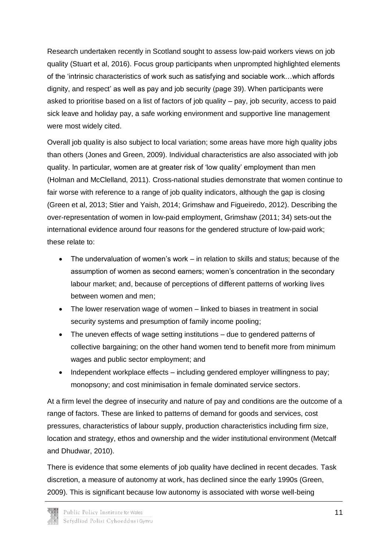Research undertaken recently in Scotland sought to assess low-paid workers views on job quality (Stuart et al, 2016). Focus group participants when unprompted highlighted elements of the 'intrinsic characteristics of work such as satisfying and sociable work…which affords dignity, and respect' as well as pay and job security (page 39). When participants were asked to prioritise based on a list of factors of job quality – pay, job security, access to paid sick leave and holiday pay, a safe working environment and supportive line management were most widely cited.

Overall job quality is also subject to local variation; some areas have more high quality jobs than others (Jones and Green, 2009). Individual characteristics are also associated with job quality. In particular, women are at greater risk of 'low quality' employment than men (Holman and McClelland, 2011). Cross-national studies demonstrate that women continue to fair worse with reference to a range of job quality indicators, although the gap is closing (Green et al, 2013; Stier and Yaish, 2014; Grimshaw and Figueiredo, 2012). Describing the over-representation of women in low-paid employment, Grimshaw (2011; 34) sets-out the international evidence around four reasons for the gendered structure of low-paid work; these relate to:

- The undervaluation of women's work in relation to skills and status; because of the assumption of women as second earners; women's concentration in the secondary labour market; and, because of perceptions of different patterns of working lives between women and men;
- The lower reservation wage of women linked to biases in treatment in social security systems and presumption of family income pooling;
- The uneven effects of wage setting institutions due to gendered patterns of collective bargaining; on the other hand women tend to benefit more from minimum wages and public sector employment; and
- Independent workplace effects including gendered employer willingness to pay; monopsony; and cost minimisation in female dominated service sectors.

At a firm level the degree of insecurity and nature of pay and conditions are the outcome of a range of factors. These are linked to patterns of demand for goods and services, cost pressures, characteristics of labour supply, production characteristics including firm size, location and strategy, ethos and ownership and the wider institutional environment (Metcalf and Dhudwar, 2010).

There is evidence that some elements of job quality have declined in recent decades. Task discretion, a measure of autonomy at work, has declined since the early 1990s (Green, 2009). This is significant because low autonomy is associated with worse well-being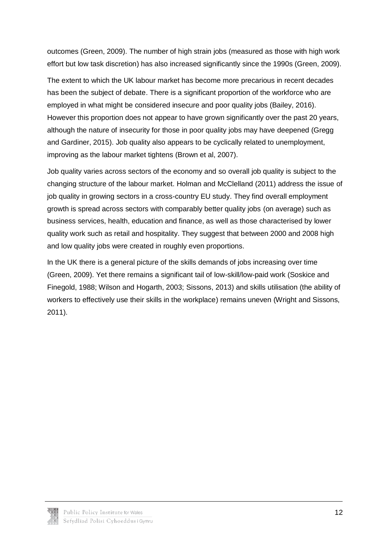outcomes (Green, 2009). The number of high strain jobs (measured as those with high work effort but low task discretion) has also increased significantly since the 1990s (Green, 2009).

The extent to which the UK labour market has become more precarious in recent decades has been the subject of debate. There is a significant proportion of the workforce who are employed in what might be considered insecure and poor quality jobs (Bailey, 2016). However this proportion does not appear to have grown significantly over the past 20 years, although the nature of insecurity for those in poor quality jobs may have deepened (Gregg and Gardiner, 2015). Job quality also appears to be cyclically related to unemployment, improving as the labour market tightens (Brown et al, 2007).

Job quality varies across sectors of the economy and so overall job quality is subject to the changing structure of the labour market. Holman and McClelland (2011) address the issue of job quality in growing sectors in a cross-country EU study. They find overall employment growth is spread across sectors with comparably better quality jobs (on average) such as business services, health, education and finance, as well as those characterised by lower quality work such as retail and hospitality. They suggest that between 2000 and 2008 high and low quality jobs were created in roughly even proportions.

In the UK there is a general picture of the skills demands of jobs increasing over time (Green, 2009). Yet there remains a significant tail of low-skill/low-paid work (Soskice and Finegold, 1988; Wilson and Hogarth, 2003; Sissons, 2013) and skills utilisation (the ability of workers to effectively use their skills in the workplace) remains uneven (Wright and Sissons, 2011).

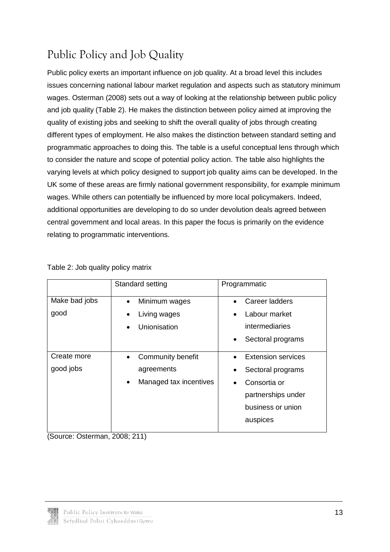# <span id="page-13-0"></span>Public Policy and Job Quality

Public policy exerts an important influence on job quality. At a broad level this includes issues concerning national labour market regulation and aspects such as statutory minimum wages. Osterman (2008) sets out a way of looking at the relationship between public policy and job quality (Table 2). He makes the distinction between policy aimed at improving the quality of existing jobs and seeking to shift the overall quality of jobs through creating different types of employment. He also makes the distinction between standard setting and programmatic approaches to doing this. The table is a useful conceptual lens through which to consider the nature and scope of potential policy action. The table also highlights the varying levels at which policy designed to support job quality aims can be developed. In the UK some of these areas are firmly national government responsibility, for example minimum wages. While others can potentially be influenced by more local policymakers. Indeed, additional opportunities are developing to do so under devolution deals agreed between central government and local areas. In this paper the focus is primarily on the evidence relating to programmatic interventions.

|                       | Standard setting                           | Programmatic                                              |
|-----------------------|--------------------------------------------|-----------------------------------------------------------|
| Make bad jobs<br>good | Minimum wages<br>$\bullet$<br>Living wages | Career ladders<br>$\bullet$<br>Labour market<br>$\bullet$ |
|                       | Unionisation                               | intermediaries                                            |
|                       |                                            | Sectoral programs<br>$\bullet$                            |
| Create more           | Community benefit                          | <b>Extension services</b><br>$\bullet$                    |
| good jobs             | agreements                                 | Sectoral programs<br>$\bullet$                            |
|                       | Managed tax incentives                     | Consortia or<br>$\bullet$                                 |
|                       |                                            | partnerships under                                        |
|                       |                                            | business or union                                         |
|                       |                                            | auspices                                                  |

Table 2: Job quality policy matrix

(Source: Osterman, 2008; 211)

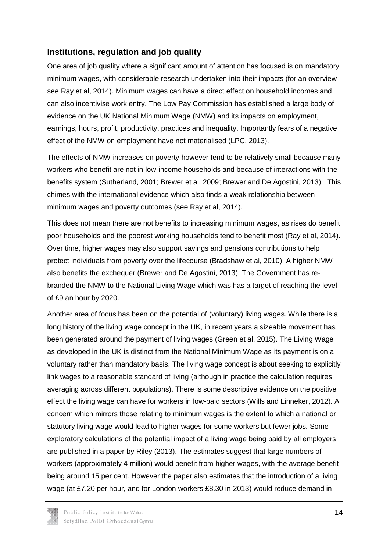#### **Institutions, regulation and job quality**

One area of job quality where a significant amount of attention has focused is on mandatory minimum wages, with considerable research undertaken into their impacts (for an overview see Ray et al, 2014). Minimum wages can have a direct effect on household incomes and can also incentivise work entry. The Low Pay Commission has established a large body of evidence on the UK National Minimum Wage (NMW) and its impacts on employment, earnings, hours, profit, productivity, practices and inequality. Importantly fears of a negative effect of the NMW on employment have not materialised (LPC, 2013).

The effects of NMW increases on poverty however tend to be relatively small because many workers who benefit are not in low-income households and because of interactions with the benefits system (Sutherland, 2001; Brewer et al, 2009; Brewer and De Agostini, 2013). This chimes with the international evidence which also finds a weak relationship between minimum wages and poverty outcomes (see Ray et al, 2014).

This does not mean there are not benefits to increasing minimum wages, as rises do benefit poor households and the poorest working households tend to benefit most (Ray et al, 2014). Over time, higher wages may also support savings and pensions contributions to help protect individuals from poverty over the lifecourse (Bradshaw et al, 2010). A higher NMW also benefits the exchequer (Brewer and De Agostini, 2013). The Government has rebranded the NMW to the National Living Wage which was has a target of reaching the level of £9 an hour by 2020.

Another area of focus has been on the potential of (voluntary) living wages. While there is a long history of the living wage concept in the UK, in recent years a sizeable movement has been generated around the payment of living wages (Green et al, 2015). The Living Wage as developed in the UK is distinct from the National Minimum Wage as its payment is on a voluntary rather than mandatory basis. The living wage concept is about seeking to explicitly link wages to a reasonable standard of living (although in practice the calculation requires averaging across different populations). There is some descriptive evidence on the positive effect the living wage can have for workers in low-paid sectors (Wills and Linneker, 2012). A concern which mirrors those relating to minimum wages is the extent to which a national or statutory living wage would lead to higher wages for some workers but fewer jobs. Some exploratory calculations of the potential impact of a living wage being paid by all employers are published in a paper by Riley (2013). The estimates suggest that large numbers of workers (approximately 4 million) would benefit from higher wages, with the average benefit being around 15 per cent. However the paper also estimates that the introduction of a living wage (at £7.20 per hour, and for London workers £8.30 in 2013) would reduce demand in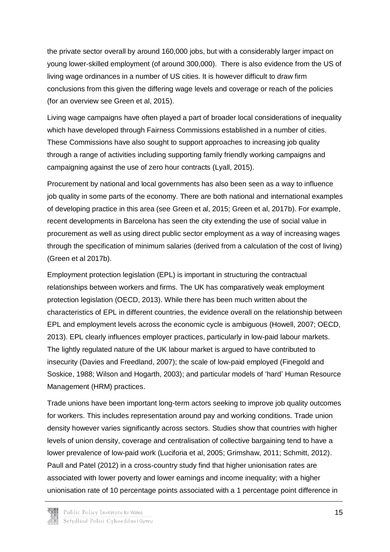the private sector overall by around 160,000 jobs, but with a considerably larger impact on young lower-skilled employment (of around 300,000). There is also evidence from the US of living wage ordinances in a number of US cities. It is however difficult to draw firm conclusions from this given the differing wage levels and coverage or reach of the policies (for an overview see Green et al, 2015).

Living wage campaigns have often played a part of broader local considerations of inequality which have developed through Fairness Commissions established in a number of cities. These Commissions have also sought to support approaches to increasing job quality through a range of activities including supporting family friendly working campaigns and campaigning against the use of zero hour contracts (Lyall, 2015).

Procurement by national and local governments has also been seen as a way to influence job quality in some parts of the economy. There are both national and international examples of developing practice in this area (see Green et al, 2015; Green et al, 2017b). For example, recent developments in Barcelona has seen the city extending the use of social value in procurement as well as using direct public sector employment as a way of increasing wages through the specification of minimum salaries (derived from a calculation of the cost of living) (Green et al 2017b).

Employment protection legislation (EPL) is important in structuring the contractual relationships between workers and firms. The UK has comparatively weak employment protection legislation (OECD, 2013). While there has been much written about the characteristics of EPL in different countries, the evidence overall on the relationship between EPL and employment levels across the economic cycle is ambiguous (Howell, 2007; OECD, 2013). EPL clearly influences employer practices, particularly in low-paid labour markets. The lightly regulated nature of the UK labour market is argued to have contributed to insecurity (Davies and Freedland, 2007); the scale of low-paid employed (Finegold and Soskice, 1988; Wilson and Hogarth, 2003); and particular models of 'hard' Human Resource Management (HRM) practices.

Trade unions have been important long-term actors seeking to improve job quality outcomes for workers. This includes representation around pay and working conditions. Trade union density however varies significantly across sectors. Studies show that countries with higher levels of union density, coverage and centralisation of collective bargaining tend to have a lower prevalence of low-paid work (Luciforia et al, 2005; Grimshaw, 2011; Schmitt, 2012). Paull and Patel (2012) in a cross-country study find that higher unionisation rates are associated with lower poverty and lower earnings and income inequality; with a higher unionisation rate of 10 percentage points associated with a 1 percentage point difference in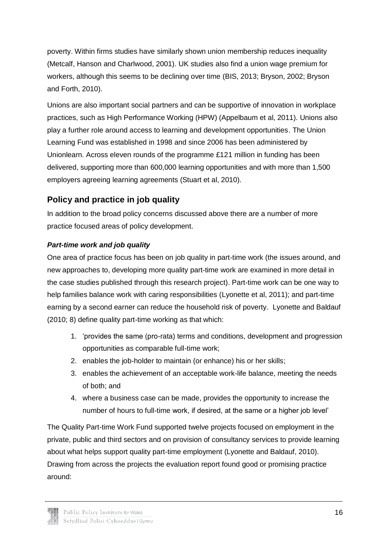poverty. Within firms studies have similarly shown union membership reduces inequality (Metcalf, Hanson and Charlwood, 2001). UK studies also find a union wage premium for workers, although this seems to be declining over time (BIS, 2013; Bryson, 2002; Bryson and Forth, 2010).

Unions are also important social partners and can be supportive of innovation in workplace practices, such as High Performance Working (HPW) (Appelbaum et al, 2011). Unions also play a further role around access to learning and development opportunities. The Union Learning Fund was established in 1998 and since 2006 has been administered by Unionlearn. Across eleven rounds of the programme £121 million in funding has been delivered, supporting more than 600,000 learning opportunities and with more than 1,500 employers agreeing learning agreements (Stuart et al, 2010).

### **Policy and practice in job quality**

In addition to the broad policy concerns discussed above there are a number of more practice focused areas of policy development.

#### *Part-time work and job quality*

One area of practice focus has been on job quality in part-time work (the issues around, and new approaches to, developing more quality part-time work are examined in more detail in the case studies published through this research project). Part-time work can be one way to help families balance work with caring responsibilities (Lyonette et al, 2011); and part-time earning by a second earner can reduce the household risk of poverty. Lyonette and Baldauf (2010; 8) define quality part-time working as that which:

- 1. 'provides the same (pro-rata) terms and conditions, development and progression opportunities as comparable full-time work;
- 2. enables the job-holder to maintain (or enhance) his or her skills;
- 3. enables the achievement of an acceptable work-life balance, meeting the needs of both; and
- 4. where a business case can be made, provides the opportunity to increase the number of hours to full-time work, if desired, at the same or a higher job level'

The Quality Part-time Work Fund supported twelve projects focused on employment in the private, public and third sectors and on provision of consultancy services to provide learning about what helps support quality part-time employment (Lyonette and Baldauf, 2010). Drawing from across the projects the evaluation report found good or promising practice around:

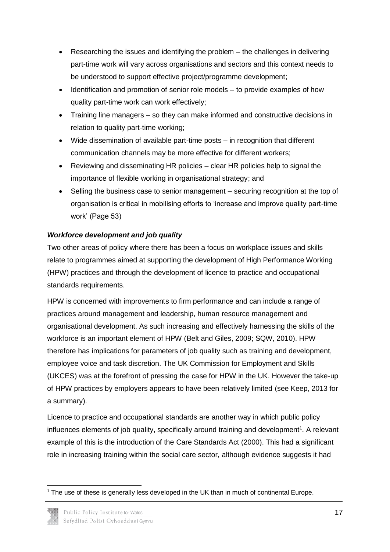- Researching the issues and identifying the problem the challenges in delivering part-time work will vary across organisations and sectors and this context needs to be understood to support effective project/programme development;
- Identification and promotion of senior role models to provide examples of how quality part-time work can work effectively;
- Training line managers so they can make informed and constructive decisions in relation to quality part-time working;
- Wide dissemination of available part-time posts in recognition that different communication channels may be more effective for different workers;
- Reviewing and disseminating HR policies clear HR policies help to signal the importance of flexible working in organisational strategy; and
- Selling the business case to senior management securing recognition at the top of organisation is critical in mobilising efforts to 'increase and improve quality part-time work' (Page 53)

#### *Workforce development and job quality*

Two other areas of policy where there has been a focus on workplace issues and skills relate to programmes aimed at supporting the development of High Performance Working (HPW) practices and through the development of licence to practice and occupational standards requirements.

HPW is concerned with improvements to firm performance and can include a range of practices around management and leadership, human resource management and organisational development. As such increasing and effectively harnessing the skills of the workforce is an important element of HPW (Belt and Giles, 2009; SQW, 2010). HPW therefore has implications for parameters of job quality such as training and development, employee voice and task discretion. The UK Commission for Employment and Skills (UKCES) was at the forefront of pressing the case for HPW in the UK. However the take-up of HPW practices by employers appears to have been relatively limited (see Keep, 2013 for a summary).

Licence to practice and occupational standards are another way in which public policy influences elements of job quality, specifically around training and development<sup>1</sup>. A relevant example of this is the introduction of the Care Standards Act (2000). This had a significant role in increasing training within the social care sector, although evidence suggests it had

<sup>-</sup> $1$  The use of these is generally less developed in the UK than in much of continental Europe.

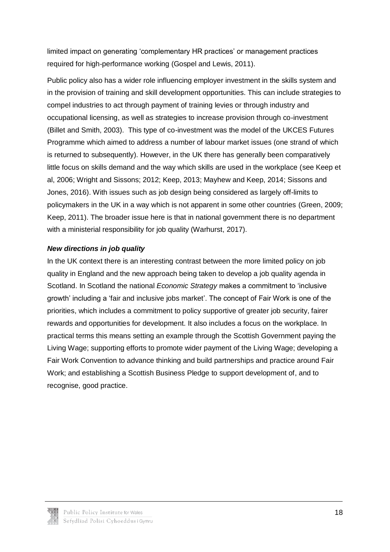limited impact on generating 'complementary HR practices' or management practices required for high-performance working (Gospel and Lewis, 2011).

Public policy also has a wider role influencing employer investment in the skills system and in the provision of training and skill development opportunities. This can include strategies to compel industries to act through payment of training levies or through industry and occupational licensing, as well as strategies to increase provision through co-investment (Billet and Smith, 2003). This type of co-investment was the model of the UKCES Futures Programme which aimed to address a number of labour market issues (one strand of which is returned to subsequently). However, in the UK there has generally been comparatively little focus on skills demand and the way which skills are used in the workplace (see Keep et al, 2006; Wright and Sissons; 2012; Keep, 2013; Mayhew and Keep, 2014; Sissons and Jones, 2016). With issues such as job design being considered as largely off-limits to policymakers in the UK in a way which is not apparent in some other countries (Green, 2009; Keep, 2011). The broader issue here is that in national government there is no department with a ministerial responsibility for job quality (Warhurst, 2017).

#### *New directions in job quality*

In the UK context there is an interesting contrast between the more limited policy on job quality in England and the new approach being taken to develop a job quality agenda in Scotland. In Scotland the national *Economic Strategy* makes a commitment to 'inclusive growth' including a 'fair and inclusive jobs market'. The concept of Fair Work is one of the priorities, which includes a commitment to policy supportive of greater job security, fairer rewards and opportunities for development. It also includes a focus on the workplace. In practical terms this means setting an example through the Scottish Government paying the Living Wage; supporting efforts to promote wider payment of the Living Wage; developing a Fair Work Convention to advance thinking and build partnerships and practice around Fair Work; and establishing a Scottish Business Pledge to support development of, and to recognise, good practice.

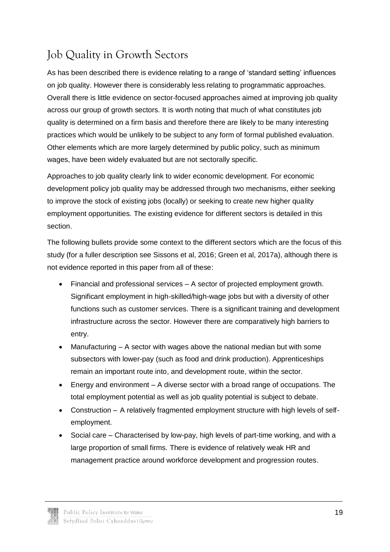## <span id="page-19-0"></span>Job Quality in Growth Sectors

As has been described there is evidence relating to a range of 'standard setting' influences on job quality. However there is considerably less relating to programmatic approaches. Overall there is little evidence on sector-focused approaches aimed at improving job quality across our group of growth sectors. It is worth noting that much of what constitutes job quality is determined on a firm basis and therefore there are likely to be many interesting practices which would be unlikely to be subject to any form of formal published evaluation. Other elements which are more largely determined by public policy, such as minimum wages, have been widely evaluated but are not sectorally specific.

Approaches to job quality clearly link to wider economic development. For economic development policy job quality may be addressed through two mechanisms, either seeking to improve the stock of existing jobs (locally) or seeking to create new higher quality employment opportunities. The existing evidence for different sectors is detailed in this section.

The following bullets provide some context to the different sectors which are the focus of this study (for a fuller description see Sissons et al, 2016; Green et al, 2017a), although there is not evidence reported in this paper from all of these:

- Financial and professional services A sector of projected employment growth. Significant employment in high-skilled/high-wage jobs but with a diversity of other functions such as customer services. There is a significant training and development infrastructure across the sector. However there are comparatively high barriers to entry.
- Manufacturing A sector with wages above the national median but with some subsectors with lower-pay (such as food and drink production). Apprenticeships remain an important route into, and development route, within the sector.
- Energy and environment A diverse sector with a broad range of occupations. The total employment potential as well as job quality potential is subject to debate.
- Construction A relatively fragmented employment structure with high levels of selfemployment.
- Social care Characterised by low-pay, high levels of part-time working, and with a large proportion of small firms. There is evidence of relatively weak HR and management practice around workforce development and progression routes.

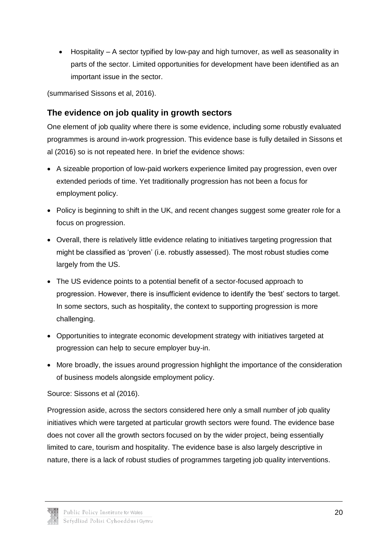Hospitality – A sector typified by low-pay and high turnover, as well as seasonality in parts of the sector. Limited opportunities for development have been identified as an important issue in the sector.

(summarised Sissons et al, 2016).

#### **The evidence on job quality in growth sectors**

One element of job quality where there is some evidence, including some robustly evaluated programmes is around in-work progression. This evidence base is fully detailed in Sissons et al (2016) so is not repeated here. In brief the evidence shows:

- A sizeable proportion of low-paid workers experience limited pay progression, even over extended periods of time. Yet traditionally progression has not been a focus for employment policy.
- Policy is beginning to shift in the UK, and recent changes suggest some greater role for a focus on progression.
- Overall, there is relatively little evidence relating to initiatives targeting progression that might be classified as 'proven' (i.e. robustly assessed). The most robust studies come largely from the US.
- The US evidence points to a potential benefit of a sector-focused approach to progression. However, there is insufficient evidence to identify the 'best' sectors to target. In some sectors, such as hospitality, the context to supporting progression is more challenging.
- Opportunities to integrate economic development strategy with initiatives targeted at progression can help to secure employer buy-in.
- More broadly, the issues around progression highlight the importance of the consideration of business models alongside employment policy.

Source: Sissons et al (2016).

Progression aside, across the sectors considered here only a small number of job quality initiatives which were targeted at particular growth sectors were found. The evidence base does not cover all the growth sectors focused on by the wider project, being essentially limited to care, tourism and hospitality. The evidence base is also largely descriptive in nature, there is a lack of robust studies of programmes targeting job quality interventions.

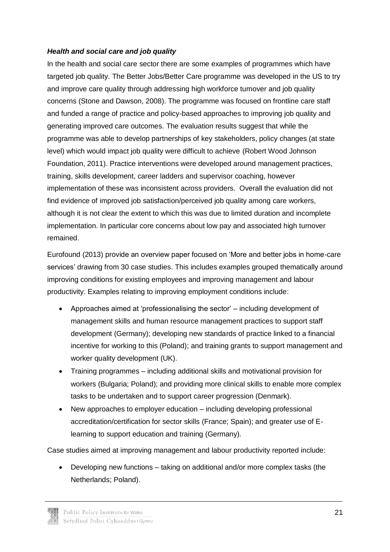#### *Health and social care and job quality*

In the health and social care sector there are some examples of programmes which have targeted job quality. The Better Jobs/Better Care programme was developed in the US to try and improve care quality through addressing high workforce turnover and job quality concerns (Stone and Dawson, 2008). The programme was focused on frontline care staff and funded a range of practice and policy-based approaches to improving job quality and generating improved care outcomes. The evaluation results suggest that while the programme was able to develop partnerships of key stakeholders, policy changes (at state level) which would impact job quality were difficult to achieve (Robert Wood Johnson Foundation, 2011). Practice interventions were developed around management practices, training, skills development, career ladders and supervisor coaching, however implementation of these was inconsistent across providers. Overall the evaluation did not find evidence of improved job satisfaction/perceived job quality among care workers, although it is not clear the extent to which this was due to limited duration and incomplete implementation. In particular core concerns about low pay and associated high turnover remained.

Eurofound (2013) provide an overview paper focused on 'More and better jobs in home-care services' drawing from 30 case studies. This includes examples grouped thematically around improving conditions for existing employees and improving management and labour productivity. Examples relating to improving employment conditions include:

- Approaches aimed at 'professionalising the sector' including development of management skills and human resource management practices to support staff development (Germany); developing new standards of practice linked to a financial incentive for working to this (Poland); and training grants to support management and worker quality development (UK).
- Training programmes including additional skills and motivational provision for workers (Bulgaria; Poland); and providing more clinical skills to enable more complex tasks to be undertaken and to support career progression (Denmark).
- New approaches to employer education including developing professional accreditation/certification for sector skills (France; Spain); and greater use of Elearning to support education and training (Germany).

Case studies aimed at improving management and labour productivity reported include:

 Developing new functions – taking on additional and/or more complex tasks (the Netherlands; Poland).

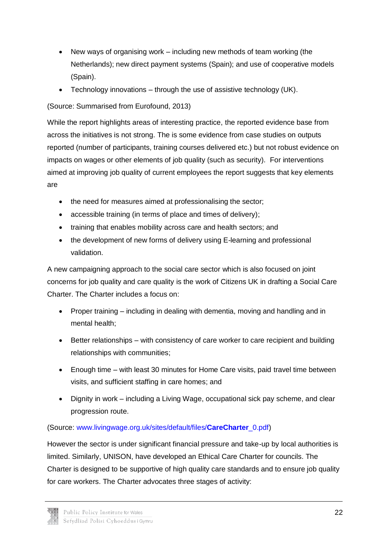- New ways of organising work including new methods of team working (the Netherlands); new direct payment systems (Spain); and use of cooperative models (Spain).
- Technology innovations through the use of assistive technology (UK).

(Source: Summarised from Eurofound, 2013)

While the report highlights areas of interesting practice, the reported evidence base from across the initiatives is not strong. The is some evidence from case studies on outputs reported (number of participants, training courses delivered etc.) but not robust evidence on impacts on wages or other elements of job quality (such as security). For interventions aimed at improving job quality of current employees the report suggests that key elements are

- the need for measures aimed at professionalising the sector;
- accessible training (in terms of place and times of delivery);
- training that enables mobility across care and health sectors; and
- the development of new forms of delivery using E-learning and professional validation.

A new campaigning approach to the social care sector which is also focused on joint concerns for job quality and care quality is the work of Citizens UK in drafting a Social Care Charter. The Charter includes a focus on:

- Proper training including in dealing with dementia, moving and handling and in mental health;
- Better relationships with consistency of care worker to care recipient and building relationships with communities;
- Enough time with least 30 minutes for Home Care visits, paid travel time between visits, and sufficient staffing in care homes; and
- Dignity in work including a Living Wage, occupational sick pay scheme, and clear progression route.

(Source: [www.livingwage.org.uk/sites/default/files/](http://www.livingwage.org.uk/sites/default/files/CareCharter_0.pdf)**CareCharter**\_0.pdf)

However the sector is under significant financial pressure and take-up by local authorities is limited. Similarly, UNISON, have developed an Ethical Care Charter for councils. The Charter is designed to be supportive of high quality care standards and to ensure job quality for care workers. The Charter advocates three stages of activity:

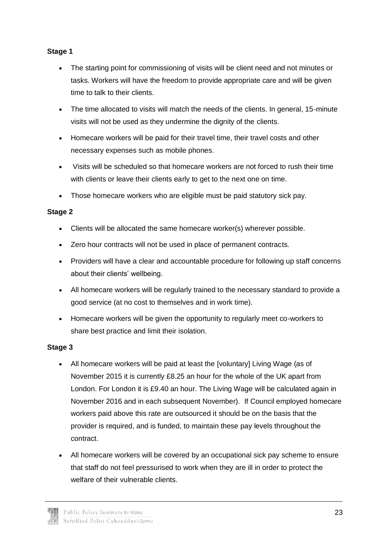#### **Stage 1**

- The starting point for commissioning of visits will be client need and not minutes or tasks. Workers will have the freedom to provide appropriate care and will be given time to talk to their clients.
- The time allocated to visits will match the needs of the clients. In general, 15-minute visits will not be used as they undermine the dignity of the clients.
- Homecare workers will be paid for their travel time, their travel costs and other necessary expenses such as mobile phones.
- Visits will be scheduled so that homecare workers are not forced to rush their time with clients or leave their clients early to get to the next one on time.
- Those homecare workers who are eligible must be paid statutory sick pay.

#### **Stage 2**

- Clients will be allocated the same homecare worker(s) wherever possible.
- Zero hour contracts will not be used in place of permanent contracts.
- Providers will have a clear and accountable procedure for following up staff concerns about their clients' wellbeing.
- All homecare workers will be regularly trained to the necessary standard to provide a good service (at no cost to themselves and in work time).
- Homecare workers will be given the opportunity to regularly meet co-workers to share best practice and limit their isolation.

#### **Stage 3**

- All homecare workers will be paid at least the [voluntary] Living Wage (as of November 2015 it is currently £8.25 an hour for the whole of the UK apart from London. For London it is £9.40 an hour. The Living Wage will be calculated again in November 2016 and in each subsequent November). If Council employed homecare workers paid above this rate are outsourced it should be on the basis that the provider is required, and is funded, to maintain these pay levels throughout the contract.
- All homecare workers will be covered by an occupational sick pay scheme to ensure that staff do not feel pressurised to work when they are ill in order to protect the welfare of their vulnerable clients.

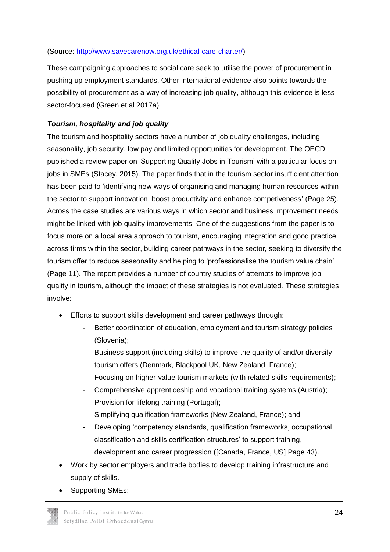#### (Source: [http://www.savecarenow.org.uk/ethical-care-charter/\)](http://www.savecarenow.org.uk/ethical-care-charter/)

These campaigning approaches to social care seek to utilise the power of procurement in pushing up employment standards. Other international evidence also points towards the possibility of procurement as a way of increasing job quality, although this evidence is less sector-focused (Green et al 2017a).

#### *Tourism, hospitality and job quality*

The tourism and hospitality sectors have a number of job quality challenges, including seasonality, job security, low pay and limited opportunities for development. The OECD published a review paper on 'Supporting Quality Jobs in Tourism' with a particular focus on jobs in SMEs (Stacey, 2015). The paper finds that in the tourism sector insufficient attention has been paid to 'identifying new ways of organising and managing human resources within the sector to support innovation, boost productivity and enhance competiveness' (Page 25). Across the case studies are various ways in which sector and business improvement needs might be linked with job quality improvements. One of the suggestions from the paper is to focus more on a local area approach to tourism, encouraging integration and good practice across firms within the sector, building career pathways in the sector, seeking to diversify the tourism offer to reduce seasonality and helping to 'professionalise the tourism value chain' (Page 11). The report provides a number of country studies of attempts to improve job quality in tourism, although the impact of these strategies is not evaluated. These strategies involve:

- Efforts to support skills development and career pathways through:
	- Better coordination of education, employment and tourism strategy policies (Slovenia);
	- Business support (including skills) to improve the quality of and/or diversify tourism offers (Denmark, Blackpool UK, New Zealand, France);
	- Focusing on higher-value tourism markets (with related skills requirements);
	- Comprehensive apprenticeship and vocational training systems (Austria);
	- Provision for lifelong training (Portugal);
	- Simplifying qualification frameworks (New Zealand, France); and
	- Developing 'competency standards, qualification frameworks, occupational classification and skills certification structures' to support training, development and career progression ([Canada, France, US] Page 43).
- Work by sector employers and trade bodies to develop training infrastructure and supply of skills.
- Supporting SMEs: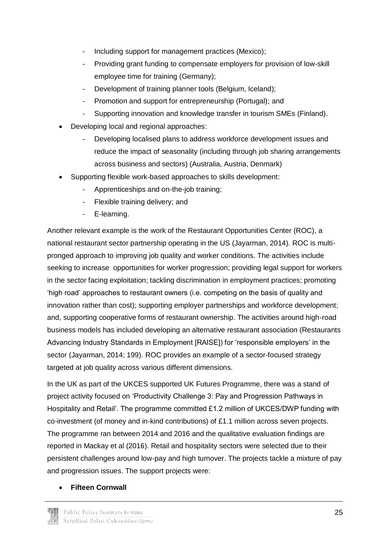- Including support for management practices (Mexico);
- Providing grant funding to compensate employers for provision of low-skill employee time for training (Germany);
- Development of training planner tools (Belgium, Iceland);
- Promotion and support for entrepreneurship (Portugal); and
- Supporting innovation and knowledge transfer in tourism SMEs (Finland).
- Developing local and regional approaches:
	- Developing localised plans to address workforce development issues and reduce the impact of seasonality (including through job sharing arrangements across business and sectors) (Australia, Austria, Denmark)
- Supporting flexible work-based approaches to skills development:
	- Apprenticeships and on-the-job training;
	- Flexible training delivery; and
	- E-learning.

Another relevant example is the work of the Restaurant Opportunities Center (ROC), a national restaurant sector partnership operating in the US (Jayarman, 2014). ROC is multipronged approach to improving job quality and worker conditions. The activities include seeking to increase opportunities for worker progression; providing legal support for workers in the sector facing exploitation; tackling discrimination in employment practices; promoting 'high road' approaches to restaurant owners (i.e. competing on the basis of quality and innovation rather than cost); supporting employer partnerships and workforce development; and, supporting cooperative forms of restaurant ownership. The activities around high-road business models has included developing an alternative restaurant association (Restaurants Advancing Industry Standards in Employment [RAISE]) for 'responsible employers' in the sector (Jayarman, 2014; 199). ROC provides an example of a sector-focused strategy targeted at job quality across various different dimensions.

In the UK as part of the UKCES supported UK Futures Programme, there was a stand of project activity focused on 'Productivity Challenge 3: Pay and Progression Pathways in Hospitality and Retail'. The programme committed £1.2 million of UKCES/DWP funding with co-investment (of money and in-kind contributions) of £1.1 million across seven projects. The programme ran between 2014 and 2016 and the qualitative evaluation findings are reported in Mackay et al (2016). Retail and hospitality sectors were selected due to their persistent challenges around low-pay and high turnover. The projects tackle a mixture of pay and progression issues. The support projects were:

**Fifteen Cornwall**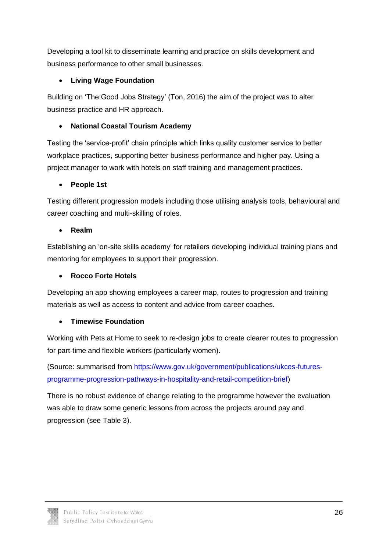Developing a tool kit to disseminate learning and practice on skills development and business performance to other small businesses.

#### **Living Wage Foundation**

Building on 'The Good Jobs Strategy' (Ton, 2016) the aim of the project was to alter business practice and HR approach.

### **National Coastal Tourism Academy**

Testing the 'service-profit' chain principle which links quality customer service to better workplace practices, supporting better business performance and higher pay. Using a project manager to work with hotels on staff training and management practices.

#### **People 1st**

Testing different progression models including those utilising analysis tools, behavioural and career coaching and multi-skilling of roles.

#### **Realm**

Establishing an 'on-site skills academy' for retailers developing individual training plans and mentoring for employees to support their progression.

#### **Rocco Forte Hotels**

Developing an app showing employees a career map, routes to progression and training materials as well as access to content and advice from career coaches.

#### **Timewise Foundation**

Working with Pets at Home to seek to re-design jobs to create clearer routes to progression for part-time and flexible workers (particularly women).

(Source: summarised from [https://www.gov.uk/government/publications/ukces-futures](https://www.gov.uk/government/publications/ukces-futures-programme-progression-pathways-in-hospitality-and-retail-competition-brief)[programme-progression-pathways-in-hospitality-and-retail-competition-brief\)](https://www.gov.uk/government/publications/ukces-futures-programme-progression-pathways-in-hospitality-and-retail-competition-brief)

There is no robust evidence of change relating to the programme however the evaluation was able to draw some generic lessons from across the projects around pay and progression (see Table 3).

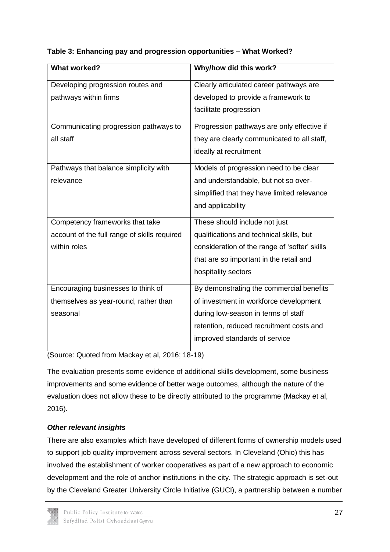| <b>What worked?</b>                          | Why/how did this work?                        |
|----------------------------------------------|-----------------------------------------------|
|                                              |                                               |
| Developing progression routes and            | Clearly articulated career pathways are       |
| pathways within firms                        | developed to provide a framework to           |
|                                              | facilitate progression                        |
| Communicating progression pathways to        | Progression pathways are only effective if    |
| all staff                                    | they are clearly communicated to all staff,   |
|                                              | ideally at recruitment                        |
| Pathways that balance simplicity with        | Models of progression need to be clear        |
| relevance                                    | and understandable, but not so over-          |
|                                              | simplified that they have limited relevance   |
|                                              | and applicability                             |
| Competency frameworks that take              | These should include not just                 |
| account of the full range of skills required | qualifications and technical skills, but      |
| within roles                                 | consideration of the range of 'softer' skills |
|                                              | that are so important in the retail and       |
|                                              | hospitality sectors                           |
| Encouraging businesses to think of           | By demonstrating the commercial benefits      |
| themselves as year-round, rather than        | of investment in workforce development        |
| seasonal                                     | during low-season in terms of staff           |
|                                              | retention, reduced recruitment costs and      |
|                                              | improved standards of service                 |
|                                              |                                               |

#### **Table 3: Enhancing pay and progression opportunities – What Worked?**

(Source: Quoted from Mackay et al, 2016; 18-19)

The evaluation presents some evidence of additional skills development, some business improvements and some evidence of better wage outcomes, although the nature of the evaluation does not allow these to be directly attributed to the programme (Mackay et al, 2016).

#### *Other relevant insights*

There are also examples which have developed of different forms of ownership models used to support job quality improvement across several sectors. In Cleveland (Ohio) this has involved the establishment of worker cooperatives as part of a new approach to economic development and the role of anchor institutions in the city. The strategic approach is set-out by the Cleveland Greater University Circle Initiative (GUCI), a partnership between a number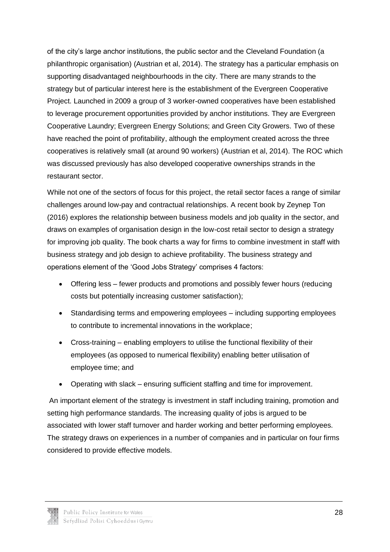of the city's large anchor institutions, the public sector and the Cleveland Foundation (a philanthropic organisation) (Austrian et al, 2014). The strategy has a particular emphasis on supporting disadvantaged neighbourhoods in the city. There are many strands to the strategy but of particular interest here is the establishment of the Evergreen Cooperative Project. Launched in 2009 a group of 3 worker-owned cooperatives have been established to leverage procurement opportunities provided by anchor institutions. They are Evergreen Cooperative Laundry; Evergreen Energy Solutions; and Green City Growers. Two of these have reached the point of profitability, although the employment created across the three cooperatives is relatively small (at around 90 workers) (Austrian et al, 2014). The ROC which was discussed previously has also developed cooperative ownerships strands in the restaurant sector.

While not one of the sectors of focus for this project, the retail sector faces a range of similar challenges around low-pay and contractual relationships. A recent book by Zeynep Ton (2016) explores the relationship between business models and job quality in the sector, and draws on examples of organisation design in the low-cost retail sector to design a strategy for improving job quality. The book charts a way for firms to combine investment in staff with business strategy and job design to achieve profitability. The business strategy and operations element of the 'Good Jobs Strategy' comprises 4 factors:

- Offering less fewer products and promotions and possibly fewer hours (reducing costs but potentially increasing customer satisfaction);
- Standardising terms and empowering employees including supporting employees to contribute to incremental innovations in the workplace;
- Cross-training enabling employers to utilise the functional flexibility of their employees (as opposed to numerical flexibility) enabling better utilisation of employee time; and
- Operating with slack ensuring sufficient staffing and time for improvement.

An important element of the strategy is investment in staff including training, promotion and setting high performance standards. The increasing quality of jobs is argued to be associated with lower staff turnover and harder working and better performing employees. The strategy draws on experiences in a number of companies and in particular on four firms considered to provide effective models.

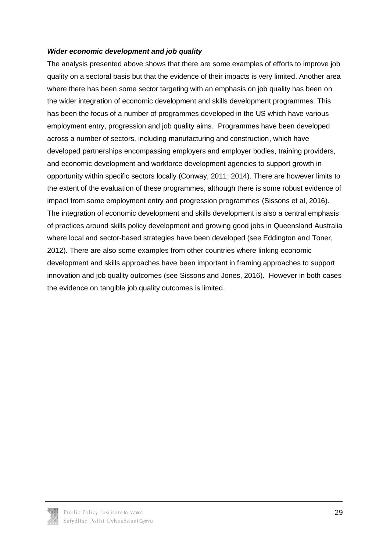#### *Wider economic development and job quality*

The analysis presented above shows that there are some examples of efforts to improve job quality on a sectoral basis but that the evidence of their impacts is very limited. Another area where there has been some sector targeting with an emphasis on job quality has been on the wider integration of economic development and skills development programmes. This has been the focus of a number of programmes developed in the US which have various employment entry, progression and job quality aims. Programmes have been developed across a number of sectors, including manufacturing and construction, which have developed partnerships encompassing employers and employer bodies, training providers, and economic development and workforce development agencies to support growth in opportunity within specific sectors locally (Conway, 2011; 2014). There are however limits to the extent of the evaluation of these programmes, although there is some robust evidence of impact from some employment entry and progression programmes (Sissons et al, 2016). The integration of economic development and skills development is also a central emphasis of practices around skills policy development and growing good jobs in Queensland Australia where local and sector-based strategies have been developed (see Eddington and Toner, 2012). There are also some examples from other countries where linking economic development and skills approaches have been important in framing approaches to support innovation and job quality outcomes (see Sissons and Jones, 2016). However in both cases the evidence on tangible job quality outcomes is limited.

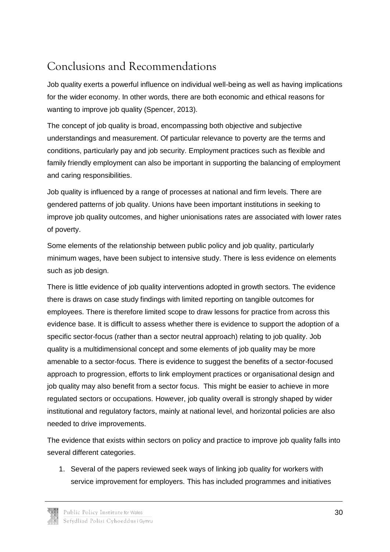## <span id="page-30-0"></span>Conclusions and Recommendations

Job quality exerts a powerful influence on individual well-being as well as having implications for the wider economy. In other words, there are both economic and ethical reasons for wanting to improve job quality (Spencer, 2013).

The concept of job quality is broad, encompassing both objective and subjective understandings and measurement. Of particular relevance to poverty are the terms and conditions, particularly pay and job security. Employment practices such as flexible and family friendly employment can also be important in supporting the balancing of employment and caring responsibilities.

Job quality is influenced by a range of processes at national and firm levels. There are gendered patterns of job quality. Unions have been important institutions in seeking to improve job quality outcomes, and higher unionisations rates are associated with lower rates of poverty.

Some elements of the relationship between public policy and job quality, particularly minimum wages, have been subject to intensive study. There is less evidence on elements such as job design.

There is little evidence of job quality interventions adopted in growth sectors. The evidence there is draws on case study findings with limited reporting on tangible outcomes for employees. There is therefore limited scope to draw lessons for practice from across this evidence base. It is difficult to assess whether there is evidence to support the adoption of a specific sector-focus (rather than a sector neutral approach) relating to job quality. Job quality is a multidimensional concept and some elements of job quality may be more amenable to a sector-focus. There is evidence to suggest the benefits of a sector-focused approach to progression, efforts to link employment practices or organisational design and job quality may also benefit from a sector focus. This might be easier to achieve in more regulated sectors or occupations. However, job quality overall is strongly shaped by wider institutional and regulatory factors, mainly at national level, and horizontal policies are also needed to drive improvements.

The evidence that exists within sectors on policy and practice to improve job quality falls into several different categories.

1. Several of the papers reviewed seek ways of linking job quality for workers with service improvement for employers. This has included programmes and initiatives

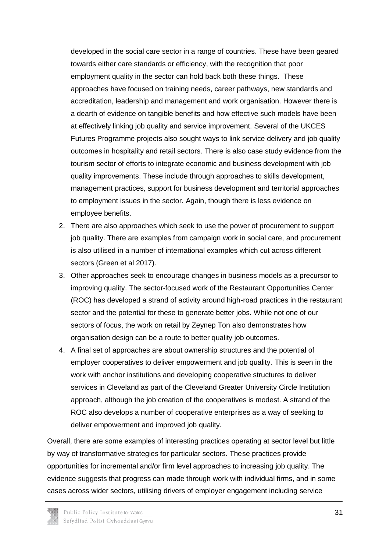developed in the social care sector in a range of countries. These have been geared towards either care standards or efficiency, with the recognition that poor employment quality in the sector can hold back both these things. These approaches have focused on training needs, career pathways, new standards and accreditation, leadership and management and work organisation. However there is a dearth of evidence on tangible benefits and how effective such models have been at effectively linking job quality and service improvement. Several of the UKCES Futures Programme projects also sought ways to link service delivery and job quality outcomes in hospitality and retail sectors. There is also case study evidence from the tourism sector of efforts to integrate economic and business development with job quality improvements. These include through approaches to skills development, management practices, support for business development and territorial approaches to employment issues in the sector. Again, though there is less evidence on employee benefits.

- 2. There are also approaches which seek to use the power of procurement to support job quality. There are examples from campaign work in social care, and procurement is also utilised in a number of international examples which cut across different sectors (Green et al 2017).
- 3. Other approaches seek to encourage changes in business models as a precursor to improving quality. The sector-focused work of the Restaurant Opportunities Center (ROC) has developed a strand of activity around high-road practices in the restaurant sector and the potential for these to generate better jobs. While not one of our sectors of focus, the work on retail by Zeynep Ton also demonstrates how organisation design can be a route to better quality job outcomes.
- 4. A final set of approaches are about ownership structures and the potential of employer cooperatives to deliver empowerment and job quality. This is seen in the work with anchor institutions and developing cooperative structures to deliver services in Cleveland as part of the Cleveland Greater University Circle Institution approach, although the job creation of the cooperatives is modest. A strand of the ROC also develops a number of cooperative enterprises as a way of seeking to deliver empowerment and improved job quality.

Overall, there are some examples of interesting practices operating at sector level but little by way of transformative strategies for particular sectors. These practices provide opportunities for incremental and/or firm level approaches to increasing job quality. The evidence suggests that progress can made through work with individual firms, and in some cases across wider sectors, utilising drivers of employer engagement including service

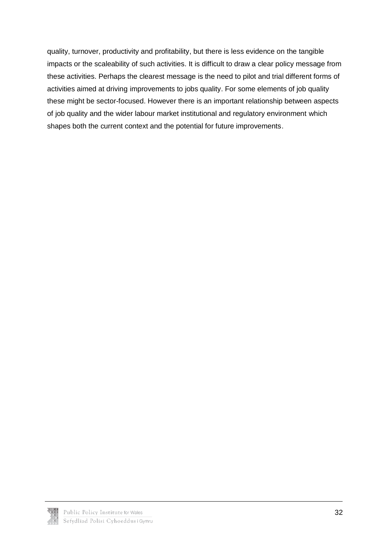quality, turnover, productivity and profitability, but there is less evidence on the tangible impacts or the scaleability of such activities. It is difficult to draw a clear policy message from these activities. Perhaps the clearest message is the need to pilot and trial different forms of activities aimed at driving improvements to jobs quality. For some elements of job quality these might be sector-focused. However there is an important relationship between aspects of job quality and the wider labour market institutional and regulatory environment which shapes both the current context and the potential for future improvements.

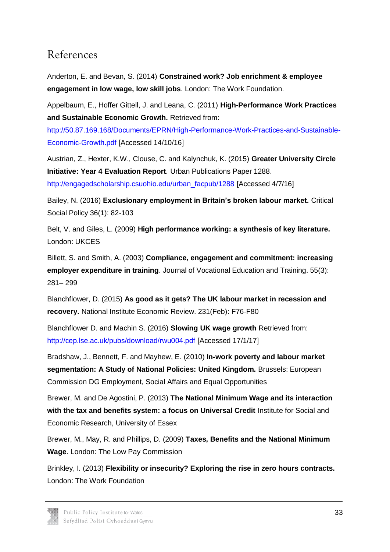### References

Anderton, E. and Bevan, S. (2014) **Constrained work? Job enrichment & employee engagement in low wage, low skill jobs**. London: The Work Foundation.

Appelbaum, E., Hoffer Gittell, J. and Leana, C. (2011) **High-Performance Work Practices and Sustainable Economic Growth.** Retrieved from:

[http://50.87.169.168/Documents/EPRN/High-Performance-Work-Practices-and-Sustainable-](http://50.87.169.168/Documents/EPRN/High-Performance-Work-Practices-and-Sustainable-Economic-Growth.pdf)[Economic-Growth.pdf](http://50.87.169.168/Documents/EPRN/High-Performance-Work-Practices-and-Sustainable-Economic-Growth.pdf) [Accessed 14/10/16]

Austrian, Z., Hexter, K.W., Clouse, C. and Kalynchuk, K. (2015) **Greater University Circle Initiative: Year 4 Evaluation Report***.* Urban Publications Paper 1288. [http://engagedscholarship.csuohio.edu/urban\\_facpub/1288](http://engagedscholarship.csuohio.edu/urban_facpub/1288) [Accessed 4/7/16]

Bailey, N. (2016) **Exclusionary employment in Britain's broken labour market.** Critical Social Policy 36(1): 82-103

Belt, V. and Giles, L. (2009) **High performance working: a synthesis of key literature.** London: UKCES

Billett, S. and Smith, A. (2003) **Compliance, engagement and commitment: increasing employer expenditure in training**. Journal of Vocational Education and Training. 55(3): 281– 299

Blanchflower, D. (2015) **As good as it gets? The UK labour market in recession and recovery.** National Institute Economic Review. 231(Feb): F76-F80

Blanchflower D. and Machin S. (2016) **Slowing UK wage growth** Retrieved from: <http://cep.lse.ac.uk/pubs/download/rwu004.pdf> [Accessed 17/1/17]

Bradshaw, J., Bennett, F. and Mayhew, E. (2010) **In-work poverty and labour market segmentation: A Study of National Policies: United Kingdom.** Brussels: European Commission DG Employment, Social Affairs and Equal Opportunities

Brewer, M. and De Agostini, P. (2013) **The National Minimum Wage and its interaction with the tax and benefits system: a focus on Universal Credit** Institute for Social and Economic Research, University of Essex

Brewer, M., May, R. and Phillips, D. (2009) **Taxes, Benefits and the National Minimum Wage**. London: The Low Pay Commission

Brinkley, I. (2013) **Flexibility or insecurity? Exploring the rise in zero hours contracts.** London: The Work Foundation

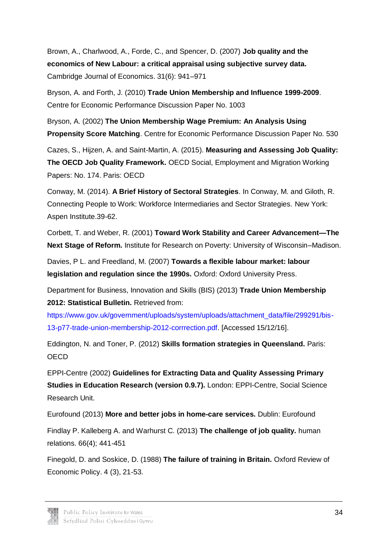Brown, A., Charlwood, A., Forde, C., and Spencer, D. (2007) **Job quality and the economics of New Labour: a critical appraisal using subjective survey data.** Cambridge Journal of Economics. 31(6): 941–971

Bryson, A. and Forth, J. (2010) **Trade Union Membership and Influence 1999-2009**. Centre for Economic Performance Discussion Paper No. 1003

Bryson, A. (2002) **The Union Membership Wage Premium: An Analysis Using Propensity Score Matching**. Centre for Economic Performance Discussion Paper No. 530

Cazes, S., Hijzen, A. and Saint-Martin, A. (2015). **Measuring and Assessing Job Quality: The OECD Job Quality Framework.** OECD Social, Employment and Migration Working Papers: No. 174. Paris: OECD

Conway, M. (2014). **A Brief History of Sectoral Strategies**. In Conway, M. and Giloth, R. Connecting People to Work: Workforce Intermediaries and Sector Strategies*.* New York: Aspen Institute.39-62.

Corbett, T. and Weber, R. (2001) **Toward Work Stability and Career Advancement—The Next Stage of Reform.** Institute for Research on Poverty: University of Wisconsin–Madison.

Davies, P L. and Freedland, M. (2007) **Towards a flexible labour market: labour legislation and regulation since the 1990s.** Oxford: Oxford University Press.

Department for Business, Innovation and Skills (BIS) (2013) **Trade Union Membership 2012: Statistical Bulletin.** Retrieved from:

[https://www.gov.uk/government/uploads/system/uploads/attachment\\_data/file/299291/bis-](https://www.gov.uk/government/uploads/system/uploads/attachment_data/file/299291/bis-13-p77-trade-union-membership-2012-corrrection.pdf)[13-p77-trade-union-membership-2012-corrrection.pdf.](https://www.gov.uk/government/uploads/system/uploads/attachment_data/file/299291/bis-13-p77-trade-union-membership-2012-corrrection.pdf) [Accessed 15/12/16].

Eddington, N. and Toner, P. (2012) **Skills formation strategies in Queensland.** Paris: **OECD** 

EPPI-Centre (2002) **Guidelines for Extracting Data and Quality Assessing Primary Studies in Education Research (version 0.9.7).** London: EPPI-Centre, Social Science Research Unit.

Eurofound (2013) **More and better jobs in home-care services.** Dublin: Eurofound Findlay P. Kalleberg A. and Warhurst C. (2013) **The challenge of job quality.** human

relations. 66(4); 441-451

Finegold, D. and Soskice, D. (1988) **The failure of training in Britain.** Oxford Review of Economic Policy. 4 (3), 21-53.

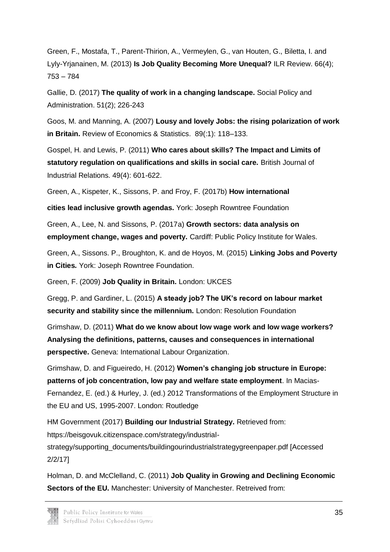Green, F., Mostafa, T., Parent-Thirion, A., Vermeylen, G., van Houten, G., Biletta, I. and Lyly-Yrjanainen, M. (2013) **Is Job Quality Becoming More Unequal?** ILR Review. 66(4); 753 – 784

Gallie, D. (2017) **The quality of work in a changing landscape.** Social Policy and Administration. 51(2); 226-243

Goos, M. and Manning, A. (2007) **Lousy and lovely Jobs: the rising polarization of work in Britain.** Review of Economics & Statistics. 89(:1): 118–133.

Gospel, H. and Lewis, P. (2011) **Who cares about skills? The Impact and Limits of statutory regulation on qualifications and skills in social care.** British Journal of Industrial Relations. 49(4): 601-622.

Green, A., Kispeter, K., Sissons, P. and Froy, F. (2017b) **How international**

**cities lead inclusive growth agendas.** York: Joseph Rowntree Foundation

Green, A., Lee, N. and Sissons, P. (2017a) **Growth sectors: data analysis on employment change, wages and poverty.** Cardiff: Public Policy Institute for Wales.

Green, A., Sissons. P., Broughton, K. and de Hoyos, M. (2015) **Linking Jobs and Poverty in Cities***.* York: Joseph Rowntree Foundation.

Green, F. (2009) **Job Quality in Britain.** London: UKCES

Gregg, P. and Gardiner, L. (2015) **A steady job? The UK's record on labour market security and stability since the millennium.** London: Resolution Foundation

Grimshaw, D. (2011) **What do we know about low wage work and low wage workers? Analysing the definitions, patterns, causes and consequences in international perspective.** Geneva: International Labour Organization.

Grimshaw, D. and Figueiredo, H. (2012) **Women's changing job structure in Europe: patterns of job concentration, low pay and welfare state employment**. In Macias-Fernandez, E. (ed.) & Hurley, J. (ed.) 2012 Transformations of the Employment Structure in the EU and US, 1995-2007. London: Routledge

HM Government (2017) **Building our Industrial Strategy.** Retrieved from:

https://beisgovuk.citizenspace.com/strategy/industrial-

strategy/supporting\_documents/buildingourindustrialstrategygreenpaper.pdf [Accessed 2/2/17]

Holman, D. and McClelland, C. (2011) **Job Quality in Growing and Declining Economic Sectors of the EU.** Manchester: University of Manchester. Retreived from:

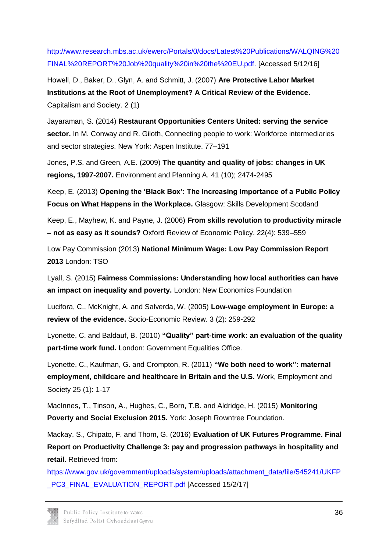[http://www.research.mbs.ac.uk/ewerc/Portals/0/docs/Latest%20Publications/WALQING%20](http://www.research.mbs.ac.uk/ewerc/Portals/0/docs/Latest%20Publications/WALQING%20FINAL%20REPORT%20Job%20quality%20in%20the%20EU.pdf) [FINAL%20REPORT%20Job%20quality%20in%20the%20EU.pdf.](http://www.research.mbs.ac.uk/ewerc/Portals/0/docs/Latest%20Publications/WALQING%20FINAL%20REPORT%20Job%20quality%20in%20the%20EU.pdf) [Accessed 5/12/16]

Howell, D., Baker, D., Glyn, A. and Schmitt, J. (2007) **Are Protective Labor Market Institutions at the Root of Unemployment? A Critical Review of the Evidence.** Capitalism and Society. 2 (1)

Jayaraman, S. (2014) **Restaurant Opportunities Centers United: serving the service sector.** In M. Conway and R. Giloth, Connecting people to work: Workforce intermediaries and sector strategies. New York: Aspen Institute. 77–191

Jones, P.S. and Green, A.E. (2009) **The quantity and quality of jobs: changes in UK regions, 1997-2007.** Environment and Planning A*.* 41 (10); 2474-2495

Keep, E. (2013) **Opening the 'Black Box': The Increasing Importance of a Public Policy Focus on What Happens in the Workplace.** Glasgow: Skills Development Scotland

Keep, E., Mayhew, K. and Payne, J. (2006) **From skills revolution to productivity miracle – not as easy as it sounds?** Oxford Review of Economic Policy. 22(4): 539–559

Low Pay Commission (2013) **National Minimum Wage: Low Pay Commission Report 2013** London: TSO

Lyall, S. (2015) **Fairness Commissions: Understanding how local authorities can have an impact on inequality and poverty.** London: New Economics Foundation

Lucifora, C., McKnight, A. and Salverda, W. (2005) **Low-wage employment in Europe: a review of the evidence.** Socio-Economic Review. 3 (2): 259-292

Lyonette, C. and Baldauf, B. (2010) **"Quality" part-time work: an evaluation of the quality part-time work fund.** London: Government Equalities Office.

Lyonette, C., Kaufman, G. and Crompton, R. (2011) **"We both need to work": maternal employment, childcare and healthcare in Britain and the U.S.** Work, Employment and Society 25 (1): 1-17

MacInnes, T., Tinson, A., Hughes, C., Born, T.B. and Aldridge, H. (2015) **Monitoring Poverty and Social Exclusion 2015.** York: Joseph Rowntree Foundation.

Mackay, S., Chipato, F. and Thom, G. (2016) **Evaluation of UK Futures Programme. Final Report on Productivity Challenge 3: pay and progression pathways in hospitality and retail.** Retrieved from:

[https://www.gov.uk/government/uploads/system/uploads/attachment\\_data/file/545241/UKFP](https://www.gov.uk/government/uploads/system/uploads/attachment_data/file/545241/UKFP_PC3_FINAL_EVALUATION_REPORT.pdf) PC3\_FINAL\_EVALUATION\_REPORT.pdf [Accessed 15/2/17]

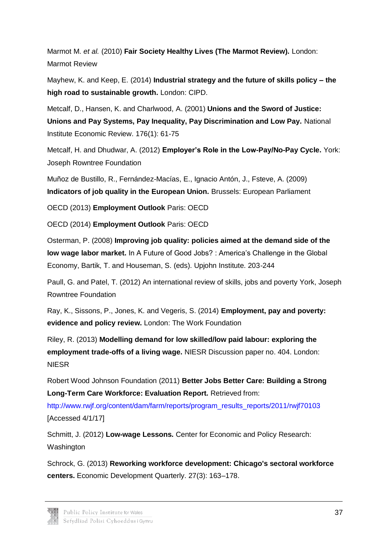Marmot M. *et al.* (2010) **Fair Society Healthy Lives (The Marmot Review).** London: Marmot Review

Mayhew, K. and Keep, E. (2014) **Industrial strategy and the future of skills policy – the high road to sustainable growth.** London: CIPD.

Metcalf, D., Hansen, K. and Charlwood, A. (2001) **Unions and the Sword of Justice: Unions and Pay Systems, Pay Inequality, Pay Discrimination and Low Pay.** National Institute Economic Review. 176(1): 61-75

Metcalf, H. and Dhudwar, A. (2012) **Employer's Role in the Low-Pay/No-Pay Cycle.** York: Joseph Rowntree Foundation

Muñoz de Bustillo, R., Fernández-Macías, E., Ignacio Antón, J., Fsteve, A. (2009) **Indicators of job quality in the European Union.** Brussels: European Parliament

OECD (2013) **Employment Outlook** Paris: OECD

OECD (2014) **Employment Outlook** Paris: OECD

Osterman, P. (2008) **Improving job quality: policies aimed at the demand side of the low wage labor market.** In A Future of Good Jobs? : America's Challenge in the Global Economy, Bartik, T. and Houseman, S. (eds). Upjohn Institute. 203-244

Paull, G. and Patel, T. (2012) An international review of skills, jobs and poverty York, Joseph Rowntree Foundation

Ray, K., Sissons, P., Jones, K. and Vegeris, S. (2014) **Employment, pay and poverty: evidence and policy review.** London: The Work Foundation

Riley, R. (2013) **Modelling demand for low skilled/low paid labour: exploring the employment trade-offs of a living wage.** NIESR Discussion paper no. 404. London: NIESR

Robert Wood Johnson Foundation (2011) **Better Jobs Better Care: Building a Strong Long-Term Care Workforce: Evaluation Report.** Retrieved from:

[http://www.rwjf.org/content/dam/farm/reports/program\\_results\\_reports/2011/rwjf70103](http://www.rwjf.org/content/dam/farm/reports/program_results_reports/2011/rwjf70103) [Accessed 4/1/17]

Schmitt, J. (2012) **Low-wage Lessons.** Center for Economic and Policy Research: Washington

Schrock, G. (2013) **Reworking workforce development: Chicago's sectoral workforce centers.** Economic Development Quarterly. 27(3): 163–178.

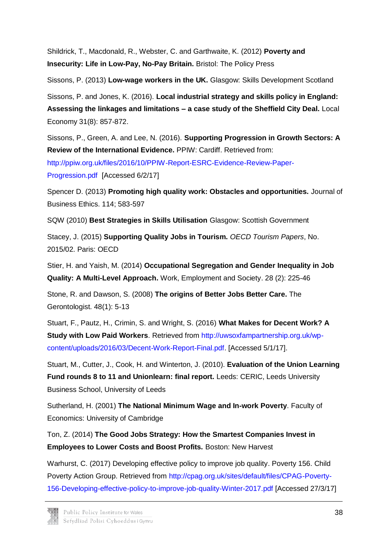Shildrick, T., Macdonald, R., Webster, C. and Garthwaite, K. (2012) **Poverty and Insecurity: Life in Low-Pay, No-Pay Britain.** Bristol: The Policy Press

Sissons, P. (2013) **Low-wage workers in the UK.** Glasgow: Skills Development Scotland

Sissons, P. and Jones, K. (2016). **Local industrial strategy and skills policy in England: Assessing the linkages and limitations – a case study of the Sheffield City Deal.** Local Economy 31(8): 857-872.

Sissons, P., Green, A. and Lee, N. (2016). **Supporting Progression in Growth Sectors: A Review of the International Evidence.** PPIW: Cardiff. Retrieved from:

[http://ppiw.org.uk/files/2016/10/PPIW-Report-ESRC-Evidence-Review-Paper-](http://ppiw.org.uk/files/2016/10/PPIW-Report-ESRC-Evidence-Review-Paper-Progression.pdf)

[Progression.pdf](http://ppiw.org.uk/files/2016/10/PPIW-Report-ESRC-Evidence-Review-Paper-Progression.pdf) [Accessed 6/2/17]

Spencer D. (2013) **Promoting high quality work: Obstacles and opportunities.** Journal of Business Ethics. 114; 583-597

SQW (2010) **Best Strategies in Skills Utilisation** Glasgow: Scottish Government

Stacey, J. (2015) **Supporting Quality Jobs in Tourism.** *OECD Tourism Papers*, No. 2015/02. Paris: OECD

Stier, H. and Yaish, M. (2014) **Occupational Segregation and Gender Inequality in Job Quality: A Multi-Level Approach.** Work, Employment and Society. 28 (2): 225-46

Stone, R. and Dawson, S. (2008) **The origins of Better Jobs Better Care.** The Gerontologist. 48(1): 5-13

Stuart, F., Pautz, H., Crimin, S. and Wright, S. (2016) **What Makes for Decent Work? A Study with Low Paid Workers**. Retrieved from [http://uwsoxfampartnership.org.uk/wp](http://uwsoxfampartnership.org.uk/wp-content/uploads/2016/03/Decent-Work-Report-Final.pdf)[content/uploads/2016/03/Decent-Work-Report-Final.pdf.](http://uwsoxfampartnership.org.uk/wp-content/uploads/2016/03/Decent-Work-Report-Final.pdf) [Accessed 5/1/17].

Stuart, M., Cutter, J., Cook, H. and Winterton, J. (2010). **Evaluation of the Union Learning Fund rounds 8 to 11 and Unionlearn: final report.** Leeds: CERIC, Leeds University Business School, University of Leeds

Sutherland, H. (2001) **The National Minimum Wage and In-work Poverty**. Faculty of Economics: University of Cambridge

Ton, Z. (2014) **The Good Jobs Strategy: How the Smartest Companies Invest in Employees to Lower Costs and Boost Profits.** Boston: New Harvest

Warhurst, C. (2017) Developing effective policy to improve job quality. Poverty 156. Child Poverty Action Group. Retrieved from [http://cpag.org.uk/sites/default/files/CPAG-Poverty-](http://cpag.org.uk/sites/default/files/CPAG-Poverty-156-Developing-effective-policy-to-improve-job-quality-Winter-2017.pdf)[156-Developing-effective-policy-to-improve-job-quality-Winter-2017.pdf](http://cpag.org.uk/sites/default/files/CPAG-Poverty-156-Developing-effective-policy-to-improve-job-quality-Winter-2017.pdf) [Accessed 27/3/17]

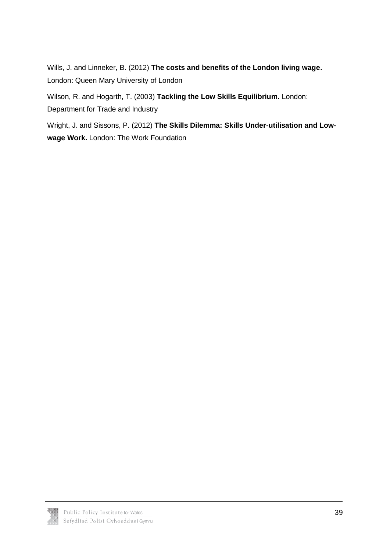Wills, J. and Linneker, B. (2012) **The costs and benefits of the London living wage.**  London: Queen Mary University of London

Wilson, R. and Hogarth, T. (2003) **Tackling the Low Skills Equilibrium.** London:

Department for Trade and Industry

Wright, J. and Sissons, P. (2012) **The Skills Dilemma: Skills Under-utilisation and Lowwage Work.** London: The Work Foundation

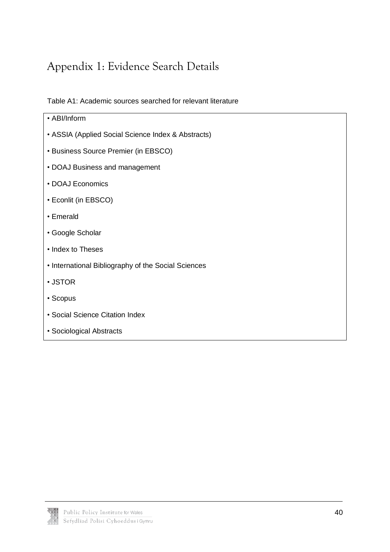## <span id="page-40-0"></span>Appendix 1: Evidence Search Details

Table A1: Academic sources searched for relevant literature

| • ABI/Inform                                        |
|-----------------------------------------------------|
| • ASSIA (Applied Social Science Index & Abstracts)  |
| <b>• Business Source Premier (in EBSCO)</b>         |
| • DOAJ Business and management                      |
| · DOAJ Economics                                    |
| • Econlit (in EBSCO)                                |
| • Emerald                                           |
| • Google Scholar                                    |
| • Index to Theses                                   |
| • International Bibliography of the Social Sciences |
| • JSTOR                                             |
| • Scopus                                            |
| • Social Science Citation Index                     |
| • Sociological Abstracts                            |

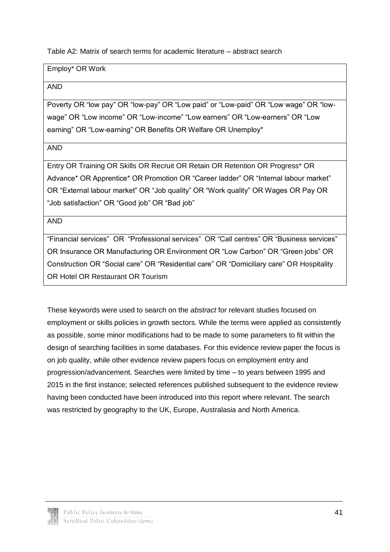Table A2: Matrix of search terms for academic literature – abstract search

Employ\* OR Work

AND

Poverty OR "low pay" OR "low-pay" OR "Low paid" or "Low-paid" OR "Low wage" OR "lowwage" OR "Low income" OR "Low-income" "Low earners" OR "Low-earners" OR "Low earning" OR "Low-earning" OR Benefits OR Welfare OR Unemploy\*

AND

Entry OR Training OR Skills OR Recruit OR Retain OR Retention OR Progress\* OR Advance\* OR Apprentice\* OR Promotion OR "Career ladder" OR "Internal labour market" OR "External labour market" OR "Job quality" OR "Work quality" OR Wages OR Pay OR "Job satisfaction" OR "Good job" OR "Bad job"

AND

"Financial services" OR "Professional services" OR "Call centres" OR "Business services" OR Insurance OR Manufacturing OR Environment OR "Low Carbon" OR "Green jobs" OR Construction OR "Social care" OR "Residential care" OR "Domiciliary care" OR Hospitality OR Hotel OR Restaurant OR Tourism

These keywords were used to search on the *abstract* for relevant studies focused on employment or skills policies in growth sectors. While the terms were applied as consistently as possible, some minor modifications had to be made to some parameters to fit within the design of searching facilities in some databases. For this evidence review paper the focus is on job quality, while other evidence review papers focus on employment entry and progression/advancement. Searches were limited by time – to years between 1995 and 2015 in the first instance; selected references published subsequent to the evidence review having been conducted have been introduced into this report where relevant. The search was restricted by geography to the UK, Europe, Australasia and North America.

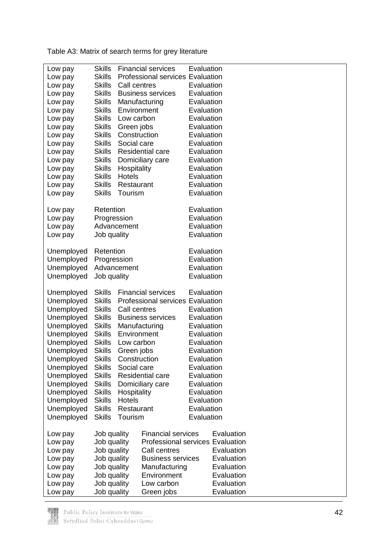Table A3: Matrix of search terms for grey literature

| Low pay    | <b>Skills</b>                              |                                  | <b>Financial services</b>               | Evaluation               |            |  |
|------------|--------------------------------------------|----------------------------------|-----------------------------------------|--------------------------|------------|--|
| Low pay    | <b>Skills</b>                              |                                  | <b>Professional services Evaluation</b> |                          |            |  |
| Low pay    | <b>Skills</b>                              | Call centres                     |                                         | Evaluation               |            |  |
| Low pay    | <b>Skills</b><br><b>Business services</b>  |                                  | Evaluation                              |                          |            |  |
| Low pay    | <b>Skills</b>                              |                                  | Evaluation                              |                          |            |  |
| Low pay    | <b>Skills</b>                              | Manufacturing<br>Environment     |                                         | Evaluation               |            |  |
| Low pay    | <b>Skills</b>                              | Low carbon                       |                                         | Evaluation               |            |  |
|            | <b>Skills</b>                              | Green jobs                       |                                         | Evaluation               |            |  |
| Low pay    | <b>Skills</b>                              | Construction                     |                                         | Evaluation               |            |  |
| Low pay    |                                            | Social care                      |                                         |                          |            |  |
| Low pay    | <b>Skills</b><br><b>Skills</b>             |                                  | Residential care                        | Evaluation<br>Evaluation |            |  |
| Low pay    |                                            |                                  |                                         |                          |            |  |
| Low pay    | <b>Skills</b>                              |                                  | Domiciliary care                        | Evaluation               |            |  |
| Low pay    | <b>Skills</b>                              | Hospitality                      |                                         | Evaluation               |            |  |
| Low pay    | <b>Skills</b>                              | Hotels                           |                                         | Evaluation               |            |  |
| Low pay    | <b>Skills</b>                              | Restaurant                       |                                         | Evaluation               |            |  |
| Low pay    | <b>Skills</b>                              | Tourism                          |                                         | Evaluation               |            |  |
| Low pay    | Retention                                  |                                  |                                         | Evaluation               |            |  |
| Low pay    | Progression                                |                                  |                                         | Evaluation               |            |  |
| Low pay    |                                            | Advancement                      |                                         | Evaluation               |            |  |
| Low pay    | Job quality                                |                                  |                                         | Evaluation               |            |  |
|            |                                            |                                  |                                         |                          |            |  |
| Unemployed | Retention                                  |                                  | Evaluation                              |                          |            |  |
| Unemployed | Progression                                |                                  |                                         | Evaluation               |            |  |
| Unemployed |                                            | Advancement                      |                                         | Evaluation               |            |  |
| Unemployed | Job quality                                |                                  | Evaluation                              |                          |            |  |
|            |                                            |                                  |                                         |                          |            |  |
| Unemployed | <b>Skills</b><br><b>Financial services</b> |                                  |                                         | Evaluation               |            |  |
| Unemployed | <b>Skills</b>                              | Professional services Evaluation |                                         |                          |            |  |
| Unemployed | <b>Skills</b>                              | Call centres                     |                                         | Evaluation               |            |  |
| Unemployed | <b>Skills</b>                              | <b>Business services</b>         |                                         | Evaluation               |            |  |
| Unemployed |                                            | <b>Skills</b><br>Manufacturing   |                                         | Evaluation               |            |  |
| Unemployed | <b>Skills</b><br>Environment               |                                  | Evaluation                              |                          |            |  |
| Unemployed | <b>Skills</b>                              | Low carbon                       |                                         | Evaluation               |            |  |
| Unemployed | Skills                                     | Green jobs                       |                                         | Evaluation               |            |  |
| Unemployed | Skills                                     | Construction                     |                                         | Evaluation               |            |  |
| Unemployed | <b>Skills</b>                              | Social care                      |                                         | Evaluation               |            |  |
| Unemployed | <b>Skills</b>                              |                                  | Residential care                        | Evaluation               |            |  |
| Unemployed | <b>Skills</b>                              |                                  | Domiciliary care                        | Evaluation               |            |  |
| Unemployed | <b>Skills</b>                              | Hospitality                      |                                         | Evaluation               |            |  |
| Unemployed | <b>Skills</b>                              | Hotels                           |                                         | Evaluation               |            |  |
| Unemployed | <b>Skills</b>                              | Restaurant                       |                                         | Evaluation               |            |  |
| Unemployed | <b>Skills</b>                              | Tourism                          |                                         | Evaluation               |            |  |
|            |                                            |                                  |                                         |                          |            |  |
| Low pay    | Job quality                                |                                  | <b>Financial services</b>               |                          | Evaluation |  |
| Low pay    | Job quality                                |                                  | <b>Professional services Evaluation</b> |                          |            |  |
| Low pay    | Job quality                                |                                  | Call centres                            |                          | Evaluation |  |
| Low pay    | Job quality                                |                                  | <b>Business services</b>                |                          | Evaluation |  |
| Low pay    | Job quality                                |                                  | Manufacturing                           |                          | Evaluation |  |
| Low pay    | Job quality                                |                                  | Environment                             |                          | Evaluation |  |
| Low pay    | Job quality                                |                                  | Low carbon                              |                          | Evaluation |  |
| Low pay    | Job quality                                |                                  | Green jobs                              |                          | Evaluation |  |

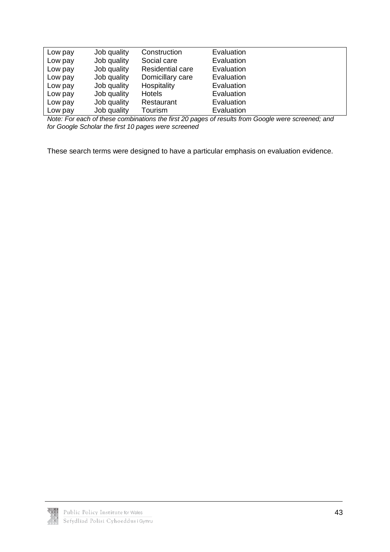| Low pay | Job quality | Construction            | Evaluation |  |
|---------|-------------|-------------------------|------------|--|
| Low pay | Job quality | Social care             | Evaluation |  |
| Low pay | Job quality | <b>Residential care</b> | Evaluation |  |
| Low pay | Job quality | Domicillary care        | Evaluation |  |
| Low pay | Job quality | Hospitality             | Evaluation |  |
| Low pay | Job quality | <b>Hotels</b>           | Evaluation |  |
| Low pay | Job quality | Restaurant              | Evaluation |  |
| Low pay | Job quality | Tourism                 | Evaluation |  |

*Note: For each of these combinations the first 20 pages of results from Google were screened; and for Google Scholar the first 10 pages were screened*

These search terms were designed to have a particular emphasis on evaluation evidence.

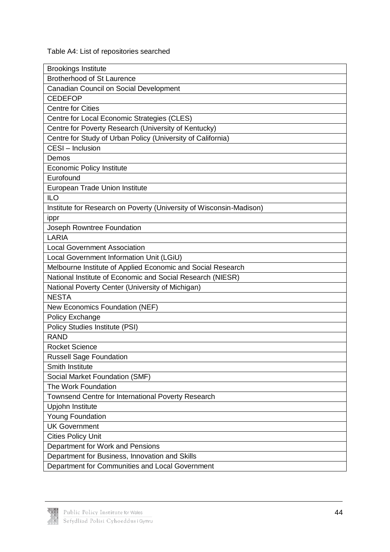Table A4: List of repositories searched

| <b>Brookings Institute</b>                                          |
|---------------------------------------------------------------------|
| <b>Brotherhood of St Laurence</b>                                   |
| Canadian Council on Social Development                              |
| <b>CEDEFOP</b>                                                      |
| <b>Centre for Cities</b>                                            |
| Centre for Local Economic Strategies (CLES)                         |
| Centre for Poverty Research (University of Kentucky)                |
| Centre for Study of Urban Policy (University of California)         |
| CESI - Inclusion                                                    |
| Demos                                                               |
| <b>Economic Policy Institute</b>                                    |
| Eurofound                                                           |
| European Trade Union Institute                                      |
| <b>ILO</b>                                                          |
| Institute for Research on Poverty (University of Wisconsin-Madison) |
| ippr                                                                |
| Joseph Rowntree Foundation                                          |
| LARIA                                                               |
| <b>Local Government Association</b>                                 |
| Local Government Information Unit (LGiU)                            |
| Melbourne Institute of Applied Economic and Social Research         |
| National Institute of Economic and Social Research (NIESR)          |
| National Poverty Center (University of Michigan)                    |
| <b>NESTA</b>                                                        |
| New Economics Foundation (NEF)                                      |
| Policy Exchange                                                     |
| <b>Policy Studies Institute (PSI)</b>                               |
| <b>RAND</b>                                                         |
| <b>Rocket Science</b>                                               |
| <b>Russell Sage Foundation</b>                                      |
| <b>Smith Institute</b>                                              |
| Social Market Foundation (SMF)                                      |
| The Work Foundation                                                 |
| Townsend Centre for International Poverty Research                  |
| Upjohn Institute                                                    |
| <b>Young Foundation</b>                                             |
| <b>UK Government</b>                                                |
| <b>Cities Policy Unit</b>                                           |
| Department for Work and Pensions                                    |
| Department for Business, Innovation and Skills                      |
| Department for Communities and Local Government                     |

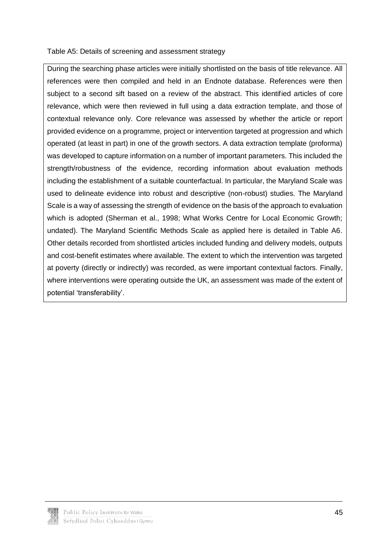#### Table A5: Details of screening and assessment strategy

During the searching phase articles were initially shortlisted on the basis of title relevance. All references were then compiled and held in an Endnote database. References were then subject to a second sift based on a review of the abstract. This identified articles of core relevance, which were then reviewed in full using a data extraction template, and those of contextual relevance only. Core relevance was assessed by whether the article or report provided evidence on a programme, project or intervention targeted at progression and which operated (at least in part) in one of the growth sectors. A data extraction template (proforma) was developed to capture information on a number of important parameters. This included the strength/robustness of the evidence, recording information about evaluation methods including the establishment of a suitable counterfactual. In particular, the Maryland Scale was used to delineate evidence into robust and descriptive (non-robust) studies. The Maryland Scale is a way of assessing the strength of evidence on the basis of the approach to evaluation which is adopted (Sherman et al., 1998; What Works Centre for Local Economic Growth; undated). The Maryland Scientific Methods Scale as applied here is detailed in Table A6. Other details recorded from shortlisted articles included funding and delivery models, outputs and cost-benefit estimates where available. The extent to which the intervention was targeted at poverty (directly or indirectly) was recorded, as were important contextual factors. Finally, where interventions were operating outside the UK, an assessment was made of the extent of potential 'transferability'.

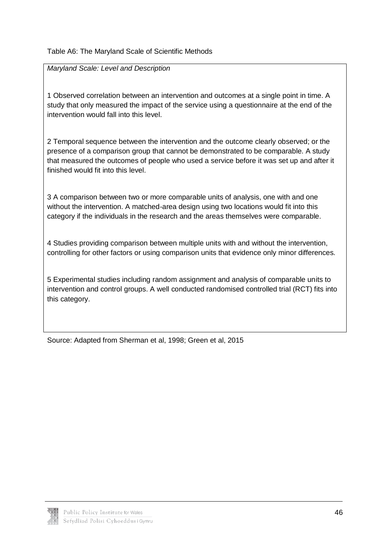#### Table A6: The Maryland Scale of Scientific Methods

*Maryland Scale: Level and Description*

1 Observed correlation between an intervention and outcomes at a single point in time. A study that only measured the impact of the service using a questionnaire at the end of the intervention would fall into this level.

2 Temporal sequence between the intervention and the outcome clearly observed; or the presence of a comparison group that cannot be demonstrated to be comparable. A study that measured the outcomes of people who used a service before it was set up and after it finished would fit into this level.

3 A comparison between two or more comparable units of analysis, one with and one without the intervention. A matched-area design using two locations would fit into this category if the individuals in the research and the areas themselves were comparable.

4 Studies providing comparison between multiple units with and without the intervention, controlling for other factors or using comparison units that evidence only minor differences.

5 Experimental studies including random assignment and analysis of comparable units to intervention and control groups. A well conducted randomised controlled trial (RCT) fits into this category.

Source: Adapted from Sherman et al, 1998; Green et al, 2015